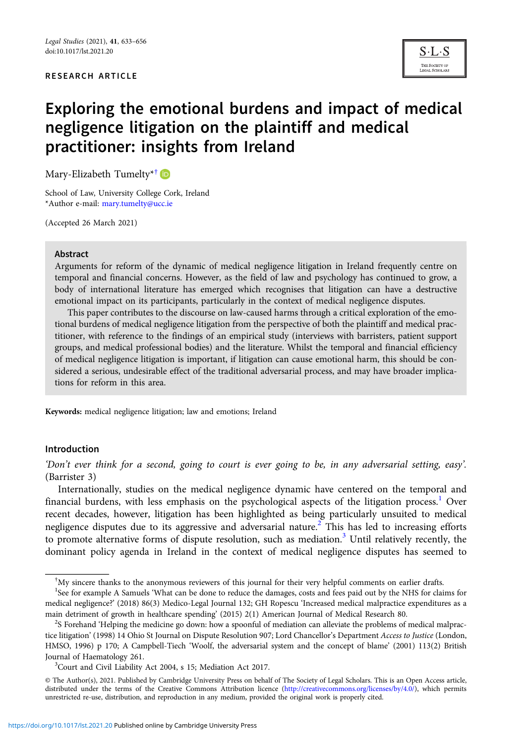#### RESEARCH ARTICLE



# Exploring the emotional burdens and impact of medical negligence litigation on the plaintiff and medical practitioner: insights from Ireland

Mary-Elizabeth Tumelty<sup>\*†</sup>

School of Law, University College Cork, Ireland \*Author e-mail: [mary.tumelty@ucc.ie](mailto:mary.tumelty@ucc.ie)

(Accepted 26 March 2021)

#### Abstract

Arguments for reform of the dynamic of medical negligence litigation in Ireland frequently centre on temporal and financial concerns. However, as the field of law and psychology has continued to grow, a body of international literature has emerged which recognises that litigation can have a destructive emotional impact on its participants, particularly in the context of medical negligence disputes.

This paper contributes to the discourse on law-caused harms through a critical exploration of the emotional burdens of medical negligence litigation from the perspective of both the plaintiff and medical practitioner, with reference to the findings of an empirical study (interviews with barristers, patient support groups, and medical professional bodies) and the literature. Whilst the temporal and financial efficiency of medical negligence litigation is important, if litigation can cause emotional harm, this should be considered a serious, undesirable effect of the traditional adversarial process, and may have broader implications for reform in this area.

Keywords: medical negligence litigation; law and emotions; Ireland

#### Introduction

'Don't ever think for a second, going to court is ever going to be, in any adversarial setting, easy'. (Barrister 3)

Internationally, studies on the medical negligence dynamic have centered on the temporal and financial burdens, with less emphasis on the psychological aspects of the litigation process.<sup>1</sup> Over recent decades, however, litigation has been highlighted as being particularly unsuited to medical negligence disputes due to its aggressive and adversarial nature.<sup>2</sup> This has led to increasing efforts to promote alternative forms of dispute resolution, such as mediation.<sup>3</sup> Until relatively recently, the dominant policy agenda in Ireland in the context of medical negligence disputes has seemed to

<sup>†</sup> My sincere thanks to the anonymous reviewers of this journal for their very helpful comments on earlier drafts.

<sup>&</sup>lt;sup>1</sup>See for example A Samuels 'What can be done to reduce the damages, costs and fees paid out by the NHS for claims for medical negligence?' (2018) 86(3) Medico-Legal Journal 132; GH Ropescu 'Increased medical malpractice expenditures as a main detriment of growth in healthcare spending' (2015) 2(1) American Journal of Medical Research 80. <sup>2</sup>

<sup>&</sup>lt;sup>2</sup>S Forehand 'Helping the medicine go down: how a spoonful of mediation can alleviate the problems of medical malpractice litigation' (1998) 14 Ohio St Journal on Dispute Resolution 907; Lord Chancellor's Department Access to Justice (London, HMSO, 1996) p 170; A Campbell-Tiech 'Woolf, the adversarial system and the concept of blame' (2001) 113(2) British Journal of Haematology 261.

<sup>&</sup>lt;sup>3</sup>Court and Civil Liability Act 2004, s 15; Mediation Act 2017.

<sup>©</sup> The Author(s), 2021. Published by Cambridge University Press on behalf of The Society of Legal Scholars. This is an Open Access article, distributed under the terms of the Creative Commons Attribution licence (<http://creativecommons.org/licenses/by/4.0/>), which permits unrestricted re-use, distribution, and reproduction in any medium, provided the original work is properly cited.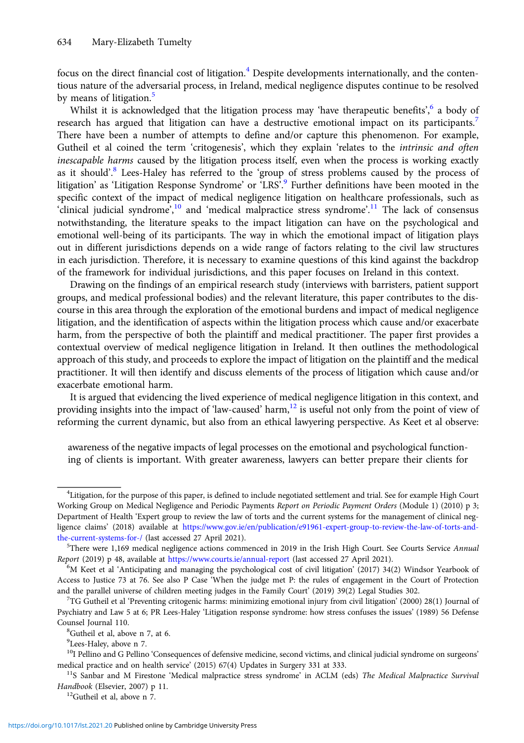focus on the direct financial cost of litigation.<sup>4</sup> Despite developments internationally, and the contentious nature of the adversarial process, in Ireland, medical negligence disputes continue to be resolved by means of litigation.<sup>5</sup>

Whilst it is acknowledged that the litigation process may 'have therapeutic benefits', 6 a body of research has argued that litigation can have a destructive emotional impact on its participants.<sup>7</sup> There have been a number of attempts to define and/or capture this phenomenon. For example, Gutheil et al coined the term 'critogenesis', which they explain 'relates to the *intrinsic and often* inescapable harms caused by the litigation process itself, even when the process is working exactly as it should'.<sup>8</sup> Lees-Haley has referred to the 'group of stress problems caused by the process of litigation' as 'Litigation Response Syndrome' or 'LRS'.<sup>9</sup> Further definitions have been mooted in the specific context of the impact of medical negligence litigation on healthcare professionals, such as 'clinical judicial syndrome',<sup>10</sup> and 'medical malpractice stress syndrome'.<sup>11</sup> The lack of consensus notwithstanding, the literature speaks to the impact litigation can have on the psychological and emotional well-being of its participants. The way in which the emotional impact of litigation plays out in different jurisdictions depends on a wide range of factors relating to the civil law structures in each jurisdiction. Therefore, it is necessary to examine questions of this kind against the backdrop of the framework for individual jurisdictions, and this paper focuses on Ireland in this context.

Drawing on the findings of an empirical research study (interviews with barristers, patient support groups, and medical professional bodies) and the relevant literature, this paper contributes to the discourse in this area through the exploration of the emotional burdens and impact of medical negligence litigation, and the identification of aspects within the litigation process which cause and/or exacerbate harm, from the perspective of both the plaintiff and medical practitioner. The paper first provides a contextual overview of medical negligence litigation in Ireland. It then outlines the methodological approach of this study, and proceeds to explore the impact of litigation on the plaintiff and the medical practitioner. It will then identify and discuss elements of the process of litigation which cause and/or exacerbate emotional harm.

It is argued that evidencing the lived experience of medical negligence litigation in this context, and providing insights into the impact of 'law-caused' harm, $12$  is useful not only from the point of view of reforming the current dynamic, but also from an ethical lawyering perspective. As Keet et al observe:

awareness of the negative impacts of legal processes on the emotional and psychological functioning of clients is important. With greater awareness, lawyers can better prepare their clients for

<sup>4</sup> Litigation, for the purpose of this paper, is defined to include negotiated settlement and trial. See for example High Court Working Group on Medical Negligence and Periodic Payments Report on Periodic Payment Orders (Module 1) (2010) p 3; Department of Health 'Expert group to review the law of torts and the current systems for the management of clinical negligence claims' (2018) available at [https://www.gov.ie/en/publication/e91961-expert-group-to-review-the-law-of-torts-and](https://www.gov.ie/en/publication/e91961-expert-group-to-review-the-law-of-torts-and-the-current-systems-for-/)[the-current-systems-for-/](https://www.gov.ie/en/publication/e91961-expert-group-to-review-the-law-of-torts-and-the-current-systems-for-/) (last accessed 27 April 2021).

 $5$ There were 1,169 medical negligence actions commenced in 2019 in the Irish High Court. See Courts Service Annual Report (2019) p 48, available at <https://www.courts.ie/annual-report> (last accessed 27 April 2021).

M Keet et al 'Anticipating and managing the psychological cost of civil litigation' (2017) 34(2) Windsor Yearbook of Access to Justice 73 at 76. See also P Case 'When the judge met P: the rules of engagement in the Court of Protection and the parallel universe of children meeting judges in the Family Court' (2019) 39(2) Legal Studies 302.

<sup>&</sup>lt;sup>7</sup>TG Gutheil et al 'Preventing critogenic harms: minimizing emotional injury from civil litigation' (2000) 28(1) Journal of Psychiatry and Law 5 at 6; PR Lees-Haley 'Litigation response syndrome: how stress confuses the issues' (1989) 56 Defense Counsel Journal 110.

Gutheil et al, above n 7, at 6.

<sup>&</sup>lt;sup>9</sup>Lees-Haley, above n 7.

<sup>&</sup>lt;sup>10</sup>I Pellino and G Pellino 'Consequences of defensive medicine, second victims, and clinical judicial syndrome on surgeons' medical practice and on health service' (2015) 67(4) Updates in Surgery 331 at 333.<br><sup>11</sup>S Sanbar and M Firestone 'Medical malpractice stress syndrome' in ACLM (eds) *The Medical Malpractice Survival* 

Handbook (Elsevier, 2007) p 11.<br><sup>12</sup>Gutheil et al, above n 7.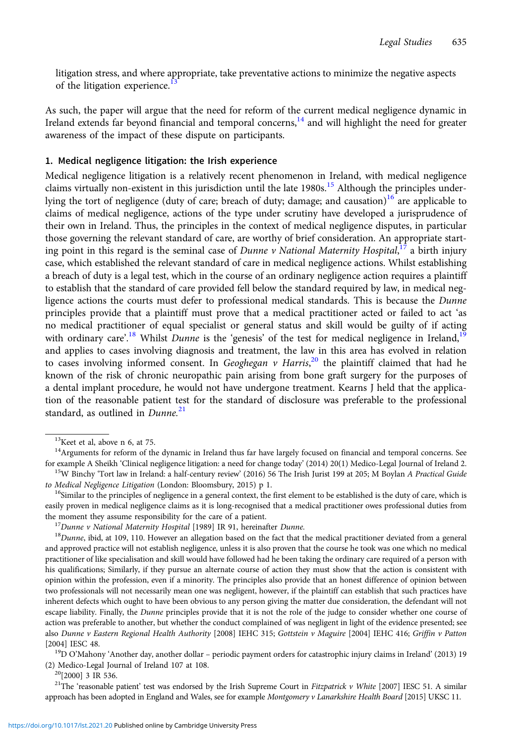litigation stress, and where appropriate, take preventative actions to minimize the negative aspects of the litigation experience.<sup>13</sup>

As such, the paper will argue that the need for reform of the current medical negligence dynamic in Ireland extends far beyond financial and temporal concerns,<sup>14</sup> and will highlight the need for greater awareness of the impact of these dispute on participants.

## 1. Medical negligence litigation: the Irish experience

Medical negligence litigation is a relatively recent phenomenon in Ireland, with medical negligence claims virtually non-existent in this jurisdiction until the late  $1980s$ .<sup>15</sup> Although the principles underlying the tort of negligence (duty of care; breach of duty; damage; and causation)<sup>16</sup> are applicable to claims of medical negligence, actions of the type under scrutiny have developed a jurisprudence of their own in Ireland. Thus, the principles in the context of medical negligence disputes, in particular those governing the relevant standard of care, are worthy of brief consideration. An appropriate starting point in this regard is the seminal case of *Dunne v National Maternity Hospital*,<sup>17</sup> a birth injury case, which established the relevant standard of care in medical negligence actions. Whilst establishing a breach of duty is a legal test, which in the course of an ordinary negligence action requires a plaintiff to establish that the standard of care provided fell below the standard required by law, in medical negligence actions the courts must defer to professional medical standards. This is because the *Dunne* principles provide that a plaintiff must prove that a medical practitioner acted or failed to act 'as no medical practitioner of equal specialist or general status and skill would be guilty of if acting with ordinary care'.<sup>18</sup> Whilst *Dunne* is the 'genesis' of the test for medical negligence in Ireland,<sup>19</sup> and applies to cases involving diagnosis and treatment, the law in this area has evolved in relation to cases involving informed consent. In Geoghegan v Harris, $^{20}$  the plaintiff claimed that had he known of the risk of chronic neuropathic pain arising from bone graft surgery for the purposes of a dental implant procedure, he would not have undergone treatment. Kearns J held that the application of the reasonable patient test for the standard of disclosure was preferable to the professional standard, as outlined in  $D$ unne.<sup>21</sup>

(2) Medico-Legal Journal of Ireland 107 at 108.<br> $^{20}[2000]$  3 IR 536.

<sup>21</sup>The 'reasonable patient' test was endorsed by the Irish Supreme Court in Fitzpatrick v White [2007] IESC 51. A similar approach has been adopted in England and Wales, see for example Montgomery v Lanarkshire Health Board [2015] UKSC 11.

 $13$ Keet et al, above n 6, at 75.

<sup>&</sup>lt;sup>14</sup>Arguments for reform of the dynamic in Ireland thus far have largely focused on financial and temporal concerns. See for example A Sheikh 'Clinical negligence litigation: a need for change today' (2014) 20(1) Medico-Legal Journal of Ireland 2.<br><sup>15</sup>W Binchy 'Tort law in Ireland: a half-century review' (2016) 56 The Irish Jurist 199 at 205

to Medical Negligence Litigation (London: Bloomsbury, 2015) p 1.<br><sup>16</sup>Similar to the principles of negligence in a general context, the first element to be established is the duty of care, which is easily proven in medical negligence claims as it is long-recognised that a medical practitioner owes professional duties from

the moment they assume responsibility for the care of a patient.<br><sup>17</sup>Dunne v National Maternity Hospital [1989] IR 91, hereinafter Dunne.<br><sup>18</sup>Dunne, ibid, at 109, 110. However an allegation based on the fact that the medi and approved practice will not establish negligence, unless it is also proven that the course he took was one which no medical practitioner of like specialisation and skill would have followed had he been taking the ordinary care required of a person with his qualifications; Similarly, if they pursue an alternate course of action they must show that the action is consistent with opinion within the profession, even if a minority. The principles also provide that an honest difference of opinion between two professionals will not necessarily mean one was negligent, however, if the plaintiff can establish that such practices have inherent defects which ought to have been obvious to any person giving the matter due consideration, the defendant will not escape liability. Finally, the Dunne principles provide that it is not the role of the judge to consider whether one course of action was preferable to another, but whether the conduct complained of was negligent in light of the evidence presented; see also Dunne v Eastern Regional Health Authority [2008] IEHC 315; Gottstein v Maguire [2004] IEHC 416; Griffin v Patton [2004] IESC 48. 19D O'Mahony 'Another day, another dollar – periodic payment orders for catastrophic injury claims in Ireland' (2013) 19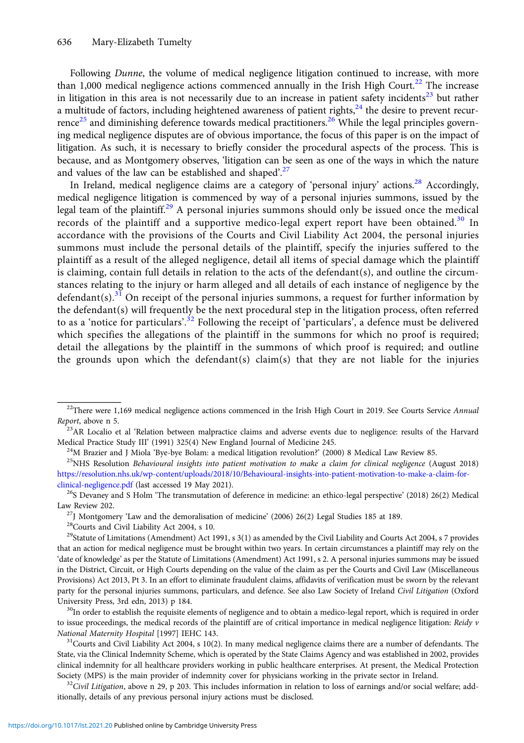Following *Dunne*, the volume of medical negligence litigation continued to increase, with more than 1,000 medical negligence actions commenced annually in the Irish High Court.<sup>22</sup> The increase in litigation in this area is not necessarily due to an increase in patient safety incidents<sup>23</sup> but rather a multitude of factors, including heightened awareness of patient rights, $^{24}$  the desire to prevent recurrence<sup>25</sup> and diminishing deference towards medical practitioners.<sup>26</sup> While the legal principles governing medical negligence disputes are of obvious importance, the focus of this paper is on the impact of litigation. As such, it is necessary to briefly consider the procedural aspects of the process. This is because, and as Montgomery observes, 'litigation can be seen as one of the ways in which the nature and values of the law can be established and shaped'.<sup>27</sup>

In Ireland, medical negligence claims are a category of 'personal injury' actions.<sup>28</sup> Accordingly, medical negligence litigation is commenced by way of a personal injuries summons, issued by the legal team of the plaintiff.<sup>29</sup> A personal injuries summons should only be issued once the medical records of the plaintiff and a supportive medico-legal expert report have been obtained.<sup>30</sup> In accordance with the provisions of the Courts and Civil Liability Act 2004, the personal injuries summons must include the personal details of the plaintiff, specify the injuries suffered to the plaintiff as a result of the alleged negligence, detail all items of special damage which the plaintiff is claiming, contain full details in relation to the acts of the defendant(s), and outline the circumstances relating to the injury or harm alleged and all details of each instance of negligence by the defendant(s).<sup>31</sup> On receipt of the personal injuries summons, a request for further information by the defendant(s) will frequently be the next procedural step in the litigation process, often referred to as a 'notice for particulars'.<sup>32</sup> Following the receipt of 'particulars', a defence must be delivered which specifies the allegations of the plaintiff in the summons for which no proof is required; detail the allegations by the plaintiff in the summons of which proof is required; and outline the grounds upon which the defendant(s) claim(s) that they are not liable for the injuries

to issue proceedings, the medical records of the plaintiff are of critical importance in medical negligence litigation: Reidy  $v$ National Maternity Hospital [1997] IEHC 143.<br><sup>31</sup>Courts and Civil Liability Act 2004, s 10(2). In many medical negligence claims there are a number of defendants. The

 $22$ There were 1,169 medical negligence actions commenced in the Irish High Court in 2019. See Courts Service Annual

Report, above n 5.<br><sup>23</sup>AR Localio et al 'Relation between malpractice claims and adverse events due to negligence: results of the Harvard Medical Practice Study III' (1991) 325(4) New England Journal of Medicine 245.<br><sup>24</sup>M Brazier and J Miola 'Bye-bye Bolam: a medical litigation revolution?' (2000) 8 Medical Law Review 85.<br><sup>25</sup>NHS Resolution *Behavioural ins* 

[https://resolution.nhs.uk/wp-content/uploads/2018/10/Behavioural-insights-into-patient-motivation-to-make-a-claim-for-](https://resolution.nhs.uk/wp-content/uploads/2018/10/Behavioural-insights-into-patient-motivation-to-make-a-claim-for-clinical-negligence.pdf)

[clinical-negligence.pdf](https://resolution.nhs.uk/wp-content/uploads/2018/10/Behavioural-insights-into-patient-motivation-to-make-a-claim-for-clinical-negligence.pdf) (last accessed 19 May 2021).<br><sup>26</sup>S Devaney and S Holm 'The transmutation of deference in medicine: an ethico-legal perspective' (2018) 26(2) Medical Law Review 202. 27J Montgomery 'Law and the demoralisation of medicine' (2006) 26(2) Legal Studies 185 at 189. 28Courts and Civil Liability Act 2004, s 10.

 $29$ Statute of Limitations (Amendment) Act 1991, s 3(1) as amended by the Civil Liability and Courts Act 2004, s 7 provides that an action for medical negligence must be brought within two years. In certain circumstances a plaintiff may rely on the 'date of knowledge' as per the Statute of Limitations (Amendment) Act 1991, s 2. A personal injuries summons may be issued in the District, Circuit, or High Courts depending on the value of the claim as per the Courts and Civil Law (Miscellaneous Provisions) Act 2013, Pt 3. In an effort to eliminate fraudulent claims, affidavits of verification must be sworn by the relevant party for the personal injuries summons, particulars, and defence. See also Law Society of Ireland Civil Litigation (Oxford University Press, 3rd edn, 2013) p 184.<br><sup>30</sup>In order to establish the requisite elements of negligence and to obtain a medico-legal report, which is required in order

State, via the Clinical Indemnity Scheme, which is operated by the State Claims Agency and was established in 2002, provides clinical indemnity for all healthcare providers working in public healthcare enterprises. At present, the Medical Protection Society (MPS) is the main provider of indemnity cover for physicians working in the private sector in Ireland.<br><sup>32</sup>Civil Litigation, above n 29, p 203. This includes information in relation to loss of earnings and/or socia

itionally, details of any previous personal injury actions must be disclosed.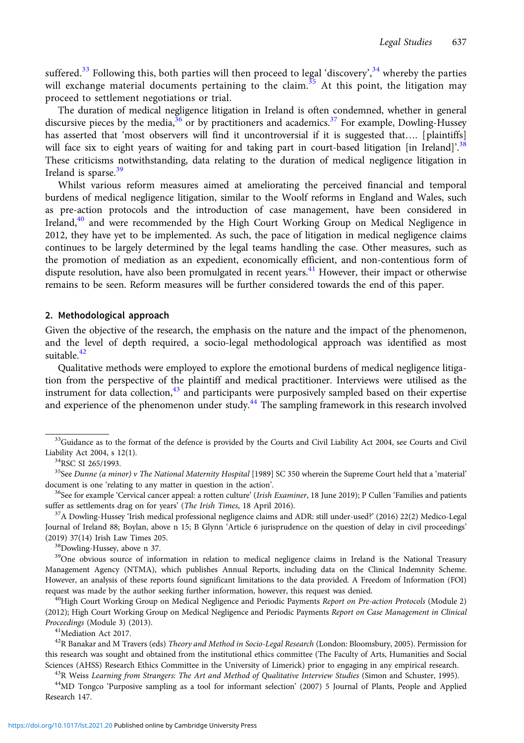suffered.<sup>33</sup> Following this, both parties will then proceed to legal 'discovery',<sup>34</sup> whereby the parties will exchange material documents pertaining to the claim.<sup>35</sup> At this point, the litigation may proceed to settlement negotiations or trial.

The duration of medical negligence litigation in Ireland is often condemned, whether in general discursive pieces by the media, $36$  or by practitioners and academics.<sup>37</sup> For example, Dowling-Hussey has asserted that 'most observers will find it uncontroversial if it is suggested that.... [plaintiffs] will face six to eight years of waiting for and taking part in court-based litigation [in Ireland]'.<sup>38</sup> These criticisms notwithstanding, data relating to the duration of medical negligence litigation in Ireland is sparse.<sup>39</sup>

Whilst various reform measures aimed at ameliorating the perceived financial and temporal burdens of medical negligence litigation, similar to the Woolf reforms in England and Wales, such as pre-action protocols and the introduction of case management, have been considered in Ireland,<sup>40</sup> and were recommended by the High Court Working Group on Medical Negligence in 2012, they have yet to be implemented. As such, the pace of litigation in medical negligence claims continues to be largely determined by the legal teams handling the case. Other measures, such as the promotion of mediation as an expedient, economically efficient, and non-contentious form of dispute resolution, have also been promulgated in recent years.<sup>41</sup> However, their impact or otherwise remains to be seen. Reform measures will be further considered towards the end of this paper.

#### 2. Methodological approach

Given the objective of the research, the emphasis on the nature and the impact of the phenomenon, and the level of depth required, a socio-legal methodological approach was identified as most suitable. $42$ 

Qualitative methods were employed to explore the emotional burdens of medical negligence litigation from the perspective of the plaintiff and medical practitioner. Interviews were utilised as the instrument for data collection, $43$  and participants were purposively sampled based on their expertise and experience of the phenomenon under study.<sup>44</sup> The sampling framework in this research involved

<sup>39</sup>One obvious source of information in relation to medical negligence claims in Ireland is the National Treasury Management Agency (NTMA), which publishes Annual Reports, including data on the Clinical Indemnity Scheme. However, an analysis of these reports found significant limitations to the data provided. A Freedom of Information (FOI) request was made by the author seeking further information, however, this request was denied.<br><sup>40</sup>High Court Working Group on Medical Negligence and Periodic Payments Report on Pre-action Protocols (Module 2)

(2012); High Court Working Group on Medical Negligence and Periodic Payments Report on Case Management in Clinical Proceedings (Module 3) (2013).<br><sup>41</sup>Mediation Act 2017.

<sup>&</sup>lt;sup>33</sup>Guidance as to the format of the defence is provided by the Courts and Civil Liability Act 2004, see Courts and Civil Liability Act 2004, s 12(1). 34RSC SI 265/1993.

<sup>&</sup>lt;sup>35</sup>See Dunne (a minor) v The National Maternity Hospital [1989] SC 350 wherein the Supreme Court held that a 'material' document is one 'relating to any matter in question in the action'.<br><sup>36</sup>See for example 'Cervical cancer appeal: a rotten culture' (*Irish Examiner*, 18 June 2019); P Cullen 'Families and patients

suffer as settlements drag on for years' (*The Irish Times*, 18 April 2016). <sup>37</sup>A Dowling-Hussey 'Irish medical professional negligence claims and ADR: still under-used?' (2016) 22(2) Medico-Legal

Journal of Ireland 88; Boylan, above n 15; B Glynn 'Article 6 jurisprudence on the question of delay in civil proceedings' (2019) 37(14) Irish Law Times 205.<br> $38Dowling-Hussey, above n 37.$ 

 $^{42}$ R Banakar and M Travers (eds) Theory and Method in Socio-Legal Research (London: Bloomsbury, 2005). Permission for this research was sought and obtained from the institutional ethics committee (The Faculty of Arts, Humanities and Social

Sciences (AHSS) Research Ethics Committee in the University of Limerick) prior to engaging in any empirical research.<br><sup>43</sup>R Weiss *Learning from Strangers: The Art and Method of Qualitative Interview Studies* (Simon and Sc Research 147.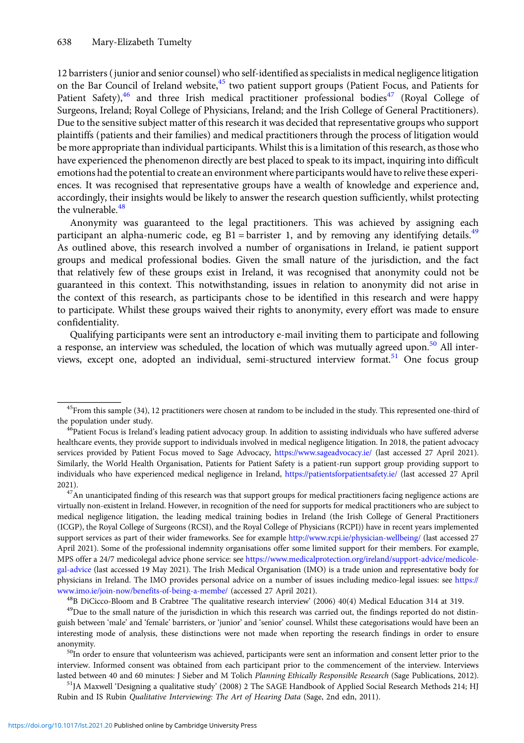12 barristers (junior and senior counsel) who self-identified as specialists in medical negligence litigation on the Bar Council of Ireland website,<sup>45</sup> two patient support groups (Patient Focus, and Patients for Patient Safety), $46$  and three Irish medical practitioner professional bodies<sup>47</sup> (Royal College of Surgeons, Ireland; Royal College of Physicians, Ireland; and the Irish College of General Practitioners). Due to the sensitive subject matter of this research it was decided that representative groups who support plaintiffs (patients and their families) and medical practitioners through the process of litigation would be more appropriate than individual participants. Whilst this is a limitation of this research, as those who have experienced the phenomenon directly are best placed to speak to its impact, inquiring into difficult emotions had the potential to create an environment where participants would have to relive these experiences. It was recognised that representative groups have a wealth of knowledge and experience and, accordingly, their insights would be likely to answer the research question sufficiently, whilst protecting the vulnerable.<sup>48</sup>

Anonymity was guaranteed to the legal practitioners. This was achieved by assigning each participant an alpha-numeric code, eg B1 = barrister 1, and by removing any identifying details.<sup>49</sup> As outlined above, this research involved a number of organisations in Ireland, ie patient support groups and medical professional bodies. Given the small nature of the jurisdiction, and the fact that relatively few of these groups exist in Ireland, it was recognised that anonymity could not be guaranteed in this context. This notwithstanding, issues in relation to anonymity did not arise in the context of this research, as participants chose to be identified in this research and were happy to participate. Whilst these groups waived their rights to anonymity, every effort was made to ensure confidentiality.

Qualifying participants were sent an introductory e-mail inviting them to participate and following a response, an interview was scheduled, the location of which was mutually agreed upon.<sup>50</sup> All interviews, except one, adopted an individual, semi-structured interview format.<sup>51</sup> One focus group

2021).  $47$ An unanticipated finding of this research was that support groups for medical practitioners facing negligence actions are virtually non-existent in Ireland. However, in recognition of the need for supports for medical practitioners who are subject to medical negligence litigation, the leading medical training bodies in Ireland (the Irish College of General Practitioners (ICGP), the Royal College of Surgeons (RCSI), and the Royal College of Physicians (RCPI)) have in recent years implemented support services as part of their wider frameworks. See for example <http://www.rcpi.ie/physician-wellbeing/> (last accessed 27 April 2021). Some of the professional indemnity organisations offer some limited support for their members. For example, MPS offer a 24/7 medicolegal advice phone service: see [https://www.medicalprotection.org/ireland/support-advice/medicole](https://www.medicalprotection.org/ireland/support-advice/medicolegal-advice)[gal-advice](https://www.medicalprotection.org/ireland/support-advice/medicolegal-advice) (last accessed 19 May 2021). The Irish Medical Organisation (IMO) is a trade union and representative body for physicians in Ireland. The IMO provides personal advice on a number of issues including medico-legal issues: see [https://](https://www.imo.ie/join-now/benefits-of-being-a-membe/) [www.imo.ie/join-now/benefits-of-being-a-membe/](https://www.imo.ie/join-now/benefits-of-being-a-membe/) (accessed 27 April 2021).<br><sup>48</sup>B DiCicco-Bloom and B Crabtree 'The qualitative research interview' (2006) 40(4) Medical Education 314 at 319.<br><sup>49</sup>Due to the small nature of the

guish between 'male' and 'female' barristers, or 'junior' and 'senior' counsel. Whilst these categorisations would have been an interesting mode of analysis, these distinctions were not made when reporting the research findings in order to ensure anonymity.<br><sup>50</sup>In order to ensure that volunteerism was achieved, participants were sent an information and consent letter prior to the

interview. Informed consent was obtained from each participant prior to the commencement of the interview. Interviews lasted between 40 and 60 minutes: J Sieber and M Tolich Planning Ethically Responsible Research (Sage Publications, 2012).<br><sup>51</sup>JA Maxwell 'Designing a qualitative study' (2008) 2 The SAGE Handbook of Applied Social Researc

Rubin and IS Rubin Qualitative Interviewing: The Art of Hearing Data (Sage, 2nd edn, 2011).

 $45$ From this sample (34), 12 practitioners were chosen at random to be included in the study. This represented one-third of the population under study.

<sup>&</sup>lt;sup>46</sup>Patient Focus is Ireland's leading patient advocacy group. In addition to assisting individuals who have suffered adverse healthcare events, they provide support to individuals involved in medical negligence litigation. In 2018, the patient advocacy services provided by Patient Focus moved to Sage Advocacy, <https://www.sageadvocacy.ie/> (last accessed 27 April 2021). Similarly, the World Health Organisation, Patients for Patient Safety is a patient-run support group providing support to individuals who have experienced medical negligence in Ireland, <https://patientsforpatientsafety.ie/> (last accessed 27 April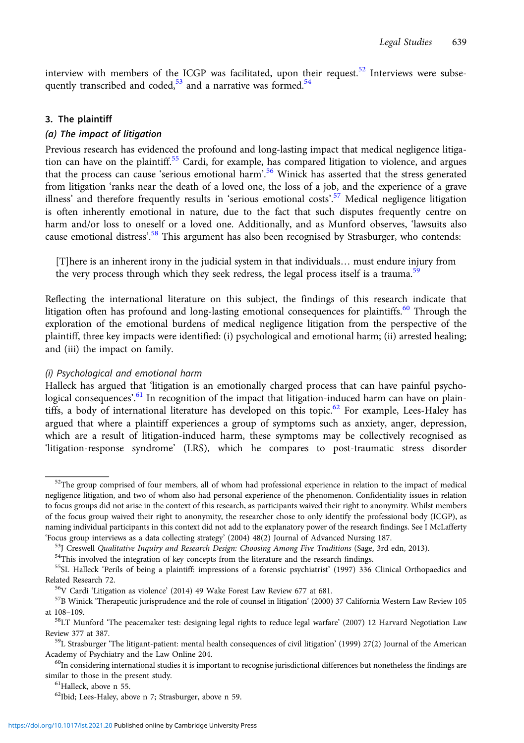interview with members of the ICGP was facilitated, upon their request.<sup>52</sup> Interviews were subsequently transcribed and coded,<sup>53</sup> and a narrative was formed.<sup>54</sup>

#### 3. The plaintiff

#### (a) The impact of litigation

Previous research has evidenced the profound and long-lasting impact that medical negligence litigation can have on the plaintiff.<sup>55</sup> Cardi, for example, has compared litigation to violence, and argues that the process can cause 'serious emotional harm'.<sup>56</sup> Winick has asserted that the stress generated from litigation 'ranks near the death of a loved one, the loss of a job, and the experience of a grave illness' and therefore frequently results in 'serious emotional costs'.<sup>57</sup> Medical negligence litigation is often inherently emotional in nature, due to the fact that such disputes frequently centre on harm and/or loss to oneself or a loved one. Additionally, and as Munford observes, 'lawsuits also cause emotional distress'.<sup>58</sup> This argument has also been recognised by Strasburger, who contends:

[T]here is an inherent irony in the judicial system in that individuals… must endure injury from the very process through which they seek redress, the legal process itself is a trauma.<sup>59</sup>

Reflecting the international literature on this subject, the findings of this research indicate that litigation often has profound and long-lasting emotional consequences for plaintiffs.<sup>60</sup> Through the exploration of the emotional burdens of medical negligence litigation from the perspective of the plaintiff, three key impacts were identified: (i) psychological and emotional harm; (ii) arrested healing; and (iii) the impact on family.

## (i) Psychological and emotional harm

Halleck has argued that 'litigation is an emotionally charged process that can have painful psychological consequences'.<sup>61</sup> In recognition of the impact that litigation-induced harm can have on plaintiffs, a body of international literature has developed on this topic.<sup>62</sup> For example, Lees-Haley has argued that where a plaintiff experiences a group of symptoms such as anxiety, anger, depression, which are a result of litigation-induced harm, these symptoms may be collectively recognised as 'litigation-response syndrome' (LRS), which he compares to post-traumatic stress disorder

 $52$ The group comprised of four members, all of whom had professional experience in relation to the impact of medical negligence litigation, and two of whom also had personal experience of the phenomenon. Confidentiality issues in relation to focus groups did not arise in the context of this research, as participants waived their right to anonymity. Whilst members of the focus group waived their right to anonymity, the researcher chose to only identify the professional body (ICGP), as naming individual participants in this context did not add to the explanatory power of the research findings. See I McLafferty

<sup>&#</sup>x27;Focus group interviews as a data collecting strategy' (2004) 48(2) Journal of Advanced Nursing 187.<br><sup>53</sup>J Creswell *Qualitative Inquiry and Research Design: Choosing Among Five Traditions* (Sage, 3rd edn, 2013).<br><sup>54</sup>This

<sup>55</sup>SL Halleck 'Perils of being a plaintiff: impressions of a forensic psychiatrist' (1997) 336 Clinical Orthopaedics and Related Research 72.<br><sup>56</sup>V Cardi 'Litigation as violence' (2014) 49 Wake Forest Law Review 677 at 681.<br><sup>57</sup>B Winick 'Therapeutic jurisprudence and the role of counsel in litigation' (2000) 37 California Western Law Review

at 108–109.<br><sup>58</sup>LT Munford 'The peacemaker test: designing legal rights to reduce legal warfare' (2007) 12 Harvard Negotiation Law

Review 377 at 387.<br><sup>59</sup>L Strasburger 'The litigant-patient: mental health consequences of civil litigation' (1999) 27(2) Journal of the American

Academy of Psychiatry and the Law Online 204.<br><sup>60</sup>In considering international studies it is important to recognise jurisdictional differences but nonetheless the findings are

similar to those in the present study.<br><sup>61</sup>Halleck, above n 55.

<sup>62</sup>Ibid; Lees-Haley, above n 7; Strasburger, above n 59.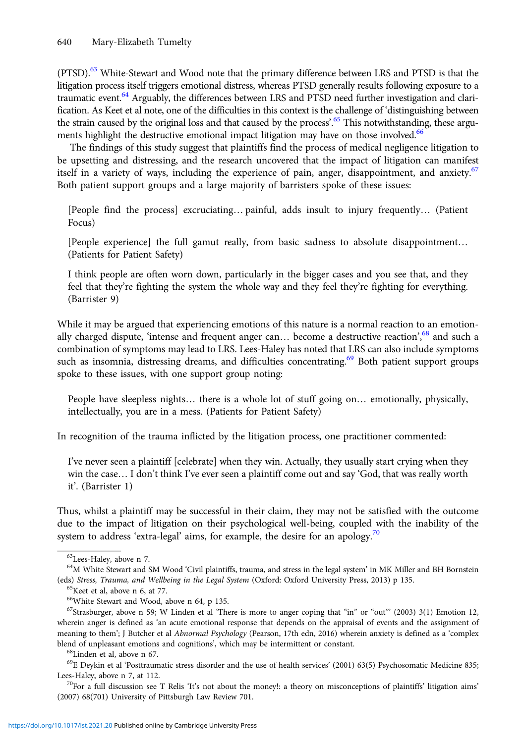(PTSD).<sup>63</sup> White-Stewart and Wood note that the primary difference between LRS and PTSD is that the litigation process itself triggers emotional distress, whereas PTSD generally results following exposure to a traumatic event.<sup>64</sup> Arguably, the differences between LRS and PTSD need further investigation and clarification. As Keet et al note, one of the difficulties in this context is the challenge of 'distinguishing between the strain caused by the original loss and that caused by the process'.<sup>65</sup> This notwithstanding, these arguments highlight the destructive emotional impact litigation may have on those involved.<sup>66</sup>

The findings of this study suggest that plaintiffs find the process of medical negligence litigation to be upsetting and distressing, and the research uncovered that the impact of litigation can manifest itself in a variety of ways, including the experience of pain, anger, disappointment, and anxiety.<sup>67</sup> Both patient support groups and a large majority of barristers spoke of these issues:

[People find the process] excruciating… painful, adds insult to injury frequently… (Patient Focus)

[People experience] the full gamut really, from basic sadness to absolute disappointment… (Patients for Patient Safety)

I think people are often worn down, particularly in the bigger cases and you see that, and they feel that they're fighting the system the whole way and they feel they're fighting for everything. (Barrister 9)

While it may be argued that experiencing emotions of this nature is a normal reaction to an emotionally charged dispute, 'intense and frequent anger can... become a destructive reaction',<sup>68</sup> and such a combination of symptoms may lead to LRS. Lees-Haley has noted that LRS can also include symptoms such as insomnia, distressing dreams, and difficulties concentrating.<sup>69</sup> Both patient support groups spoke to these issues, with one support group noting:

People have sleepless nights… there is a whole lot of stuff going on… emotionally, physically, intellectually, you are in a mess. (Patients for Patient Safety)

In recognition of the trauma inflicted by the litigation process, one practitioner commented:

I've never seen a plaintiff [celebrate] when they win. Actually, they usually start crying when they win the case… I don't think I've ever seen a plaintiff come out and say 'God, that was really worth it'. (Barrister 1)

Thus, whilst a plaintiff may be successful in their claim, they may not be satisfied with the outcome due to the impact of litigation on their psychological well-being, coupled with the inability of the system to address 'extra-legal' aims, for example, the desire for an apology.<sup>70</sup>

<sup>63</sup>Lees-Haley, above n 7.

<sup>&</sup>lt;sup>64</sup>M White Stewart and SM Wood 'Civil plaintiffs, trauma, and stress in the legal system' in MK Miller and BH Bornstein (eds) Stress, Trauma, and Wellbeing in the Legal System (Oxford: Oxford University Press, 2013) p 135. 65Keet et al, above n 6, at 77.

<sup>66</sup>White Stewart and Wood, above n 64, p 135.

 $^{67}$ Strasburger, above n 59; W Linden et al 'There is more to anger coping that "in" or "out" (2003) 3(1) Emotion 12, wherein anger is defined as 'an acute emotional response that depends on the appraisal of events and the assignment of meaning to them'; J Butcher et al Abnormal Psychology (Pearson, 17th edn, 2016) wherein anxiety is defined as a 'complex blend of unpleasant emotions and cognitions', which may be intermittent or constant. <sup>68</sup>Linden et al, above n 67.

 $^{69}$ E Deykin et al 'Posttraumatic stress disorder and the use of health services' (2001) 63(5) Psychosomatic Medicine 835; Lees-Haley, above n 7, at 112.<br><sup>70</sup>For a full discussion see T Relis 'It's not about the money!: a theory on misconceptions of plaintiffs' litigation aims'

<sup>(2007) 68(701)</sup> University of Pittsburgh Law Review 701.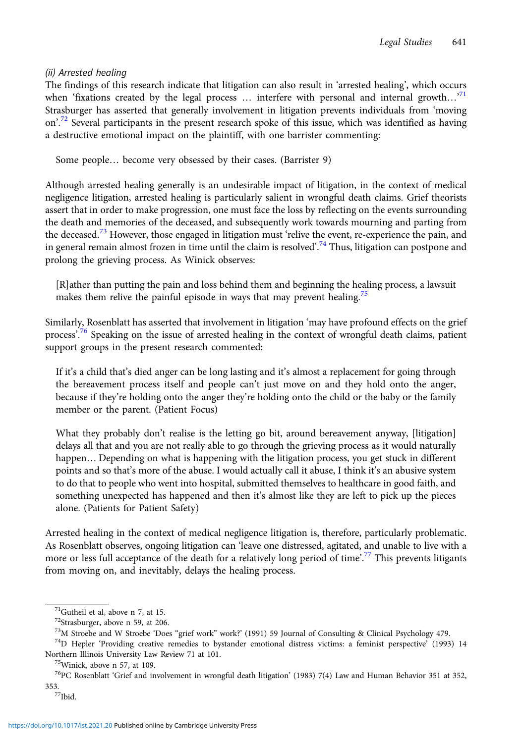## (ii) Arrested healing

The findings of this research indicate that litigation can also result in 'arrested healing', which occurs when 'fixations created by the legal process  $\ldots$  interfere with personal and internal growth $\ldots$ <sup>71</sup> Strasburger has asserted that generally involvement in litigation prevents individuals from 'moving on'.<sup>72</sup> Several participants in the present research spoke of this issue, which was identified as having a destructive emotional impact on the plaintiff, with one barrister commenting:

Some people… become very obsessed by their cases. (Barrister 9)

Although arrested healing generally is an undesirable impact of litigation, in the context of medical negligence litigation, arrested healing is particularly salient in wrongful death claims. Grief theorists assert that in order to make progression, one must face the loss by reflecting on the events surrounding the death and memories of the deceased, and subsequently work towards mourning and parting from the deceased.<sup>73</sup> However, those engaged in litigation must 'relive the event, re-experience the pain, and in general remain almost frozen in time until the claim is resolved'.<sup>74</sup> Thus, litigation can postpone and prolong the grieving process. As Winick observes:

[R]ather than putting the pain and loss behind them and beginning the healing process, a lawsuit makes them relive the painful episode in ways that may prevent healing.<sup>75</sup>

Similarly, Rosenblatt has asserted that involvement in litigation 'may have profound effects on the grief process'.<sup>76</sup> Speaking on the issue of arrested healing in the context of wrongful death claims, patient support groups in the present research commented:

If it's a child that's died anger can be long lasting and it's almost a replacement for going through the bereavement process itself and people can't just move on and they hold onto the anger, because if they're holding onto the anger they're holding onto the child or the baby or the family member or the parent. (Patient Focus)

What they probably don't realise is the letting go bit, around bereavement anyway, [litigation] delays all that and you are not really able to go through the grieving process as it would naturally happen… Depending on what is happening with the litigation process, you get stuck in different points and so that's more of the abuse. I would actually call it abuse, I think it's an abusive system to do that to people who went into hospital, submitted themselves to healthcare in good faith, and something unexpected has happened and then it's almost like they are left to pick up the pieces alone. (Patients for Patient Safety)

Arrested healing in the context of medical negligence litigation is, therefore, particularly problematic. As Rosenblatt observes, ongoing litigation can 'leave one distressed, agitated, and unable to live with a more or less full acceptance of the death for a relatively long period of time'. <sup>77</sup> This prevents litigants from moving on, and inevitably, delays the healing process.

<sup>71</sup>Gutheil et al, above n 7, at 15.

<sup>&</sup>lt;sup>72</sup>Strasburger, above n 59, at 206.<br><sup>73</sup>M Stroebe and W Stroebe 'Does "grief work" work?' (1991) 59 Journal of Consulting & Clinical Psychology 479.

 $74$ D Hepler 'Providing creative remedies to bystander emotional distress victims: a feminist perspective' (1993) 14 Northern Illinois University Law Review 71 at 101. 75Winick, above n 57, at 109.

 $^{76}$ PC Rosenblatt 'Grief and involvement in wrongful death litigation' (1983) 7(4) Law and Human Behavior 351 at 352, 353.<br><sup>77</sup>Ibid.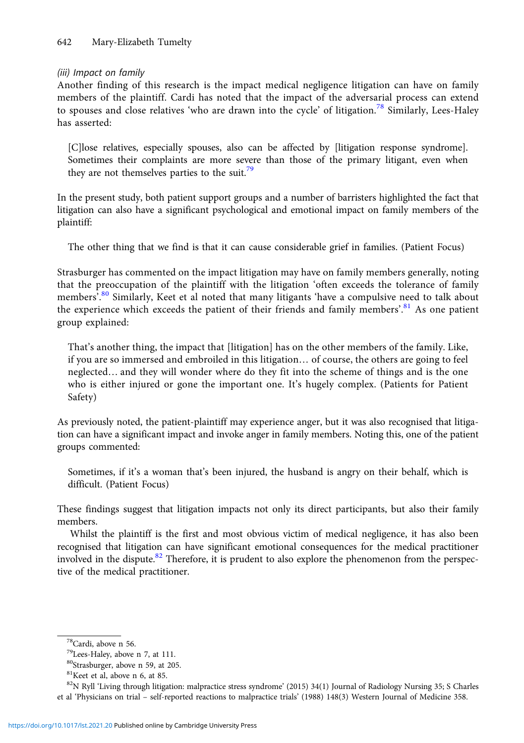## (iii) Impact on family

Another finding of this research is the impact medical negligence litigation can have on family members of the plaintiff. Cardi has noted that the impact of the adversarial process can extend to spouses and close relatives 'who are drawn into the cycle' of litigation.<sup>78</sup> Similarly, Lees-Haley has asserted:

[C]lose relatives, especially spouses, also can be affected by [litigation response syndrome]. Sometimes their complaints are more severe than those of the primary litigant, even when they are not themselves parties to the suit.<sup>79</sup>

In the present study, both patient support groups and a number of barristers highlighted the fact that litigation can also have a significant psychological and emotional impact on family members of the plaintiff:

The other thing that we find is that it can cause considerable grief in families. (Patient Focus)

Strasburger has commented on the impact litigation may have on family members generally, noting that the preoccupation of the plaintiff with the litigation 'often exceeds the tolerance of family members'. <sup>80</sup> Similarly, Keet et al noted that many litigants 'have a compulsive need to talk about the experience which exceeds the patient of their friends and family members'.<sup>81</sup> As one patient group explained:

That's another thing, the impact that [litigation] has on the other members of the family. Like, if you are so immersed and embroiled in this litigation… of course, the others are going to feel neglected… and they will wonder where do they fit into the scheme of things and is the one who is either injured or gone the important one. It's hugely complex. (Patients for Patient Safety)

As previously noted, the patient-plaintiff may experience anger, but it was also recognised that litigation can have a significant impact and invoke anger in family members. Noting this, one of the patient groups commented:

Sometimes, if it's a woman that's been injured, the husband is angry on their behalf, which is difficult. (Patient Focus)

These findings suggest that litigation impacts not only its direct participants, but also their family members.

Whilst the plaintiff is the first and most obvious victim of medical negligence, it has also been recognised that litigation can have significant emotional consequences for the medical practitioner involved in the dispute.<sup>82</sup> Therefore, it is prudent to also explore the phenomenon from the perspective of the medical practitioner.

<sup>82</sup>N Ryll 'Living through litigation: malpractice stress syndrome' (2015) 34(1) Journal of Radiology Nursing 35; S Charles et al 'Physicians on trial – self-reported reactions to malpractice trials' (1988) 148(3) Western Journal of Medicine 358.

<sup>78</sup>Cardi, above n 56.

<sup>79</sup>Lees-Haley, above n 7, at 111.

<sup>80</sup>Strasburger, above n 59, at 205.

<sup>81</sup>Keet et al, above n 6, at 85.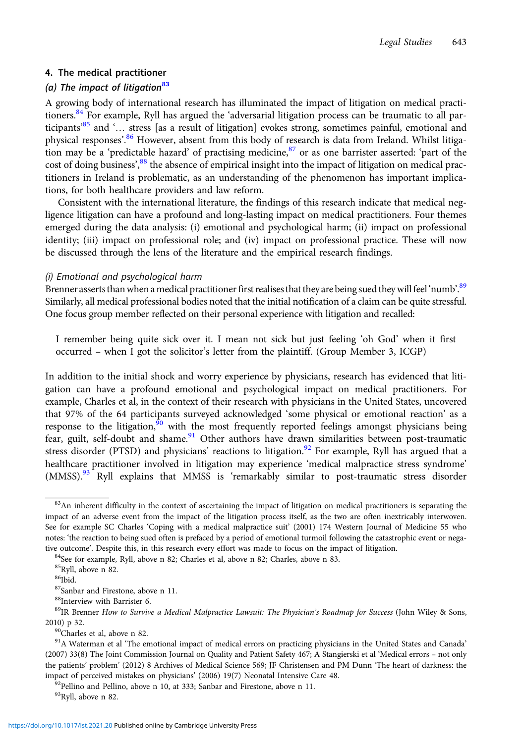## 4. The medical practitioner

## (a) The impact of litigation $^{83}$

A growing body of international research has illuminated the impact of litigation on medical practitioners.<sup>84</sup> For example, Ryll has argued the 'adversarial litigation process can be traumatic to all participants' <sup>85</sup> and '… stress [as a result of litigation] evokes strong, sometimes painful, emotional and physical responses'.<sup>86</sup> However, absent from this body of research is data from Ireland. Whilst litigation may be a 'predictable hazard' of practising medicine,  $87$  or as one barrister asserted: 'part of the cost of doing business',<sup>88</sup> the absence of empirical insight into the impact of litigation on medical practitioners in Ireland is problematic, as an understanding of the phenomenon has important implications, for both healthcare providers and law reform.

Consistent with the international literature, the findings of this research indicate that medical negligence litigation can have a profound and long-lasting impact on medical practitioners. Four themes emerged during the data analysis: (i) emotional and psychological harm; (ii) impact on professional identity; (iii) impact on professional role; and (iv) impact on professional practice. These will now be discussed through the lens of the literature and the empirical research findings.

## (i) Emotional and psychological harm

Brenner asserts than when a medical practitioner first realises that they are being sued they will feel 'numb'.  $^{89}$ Similarly, all medical professional bodies noted that the initial notification of a claim can be quite stressful. One focus group member reflected on their personal experience with litigation and recalled:

I remember being quite sick over it. I mean not sick but just feeling 'oh God' when it first occurred – when I got the solicitor's letter from the plaintiff. (Group Member 3, ICGP)

In addition to the initial shock and worry experience by physicians, research has evidenced that litigation can have a profound emotional and psychological impact on medical practitioners. For example, Charles et al, in the context of their research with physicians in the United States, uncovered that 97% of the 64 participants surveyed acknowledged 'some physical or emotional reaction' as a response to the litigation,  $\frac{90}{90}$  with the most frequently reported feelings amongst physicians being fear, guilt, self-doubt and shame.<sup>91</sup> Other authors have drawn similarities between post-traumatic stress disorder (PTSD) and physicians' reactions to litigation.<sup>92</sup> For example, Ryll has argued that a healthcare practitioner involved in litigation may experience 'medical malpractice stress syndrome' (MMSS).<sup>93</sup> Ryll explains that MMSS is 'remarkably similar to post-traumatic stress disorder

2010) p 32.<br> $^{90}$ Charles et al, above n 82.

93Ryll, above n 82.

<sup>&</sup>lt;sup>83</sup>An inherent difficulty in the context of ascertaining the impact of litigation on medical practitioners is separating the impact of an adverse event from the impact of the litigation process itself, as the two are often inextricably interwoven. See for example SC Charles 'Coping with a medical malpractice suit' (2001) 174 Western Journal of Medicine 55 who notes: 'the reaction to being sued often is prefaced by a period of emotional turmoil following the catastrophic event or negative outcome'. Despite this, in this research every effort was made to focus on the impact of litigation. <sup>84</sup>See for example, Ryll, above n 82; Charles et al, above n 82; Charles, above n 83.

<sup>85</sup>Ryll, above n 82.

 $86$ Ibid.

<sup>87</sup>Sanbar and Firestone, above n 11.

<sup>88</sup>Interview with Barrister 6.

<sup>&</sup>lt;sup>89</sup>IR Brenner How to Survive a Medical Malpractice Lawsuit: The Physician's Roadmap for Success (John Wiley & Sons,

<sup>&</sup>lt;sup>91</sup>A Waterman et al 'The emotional impact of medical errors on practicing physicians in the United States and Canada' (2007) 33(8) The Joint Commission Journal on Quality and Patient Safety 467; A Stangierski et al 'Medical errors – not only the patients' problem' (2012) 8 Archives of Medical Science 569; JF Christensen and PM Dunn 'The heart of darkness: the impact of perceived mistakes on physicians' (2006) 19(7) Neonatal Intensive Care 48. <sup>92</sup>Pellino and Pellino, above n 10, at 333; Sanbar and Firestone, above n 11.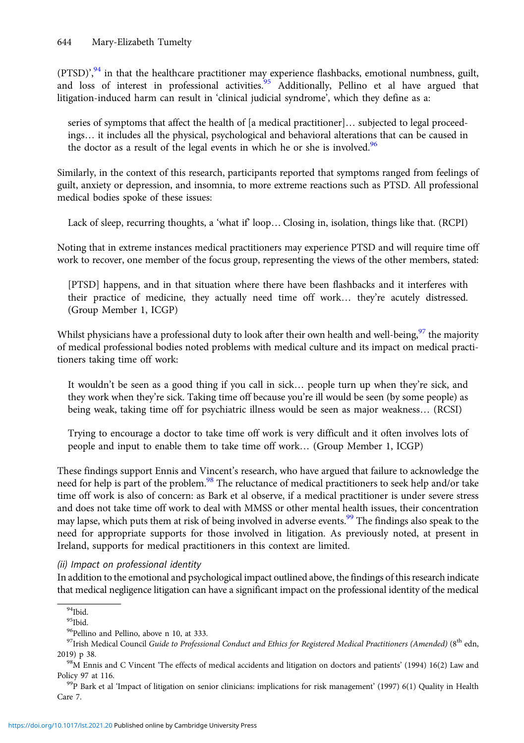(PTSD)',<sup>94</sup> in that the healthcare practitioner may experience flashbacks, emotional numbness, guilt, and loss of interest in professional activities.<sup>95</sup> Additionally, Pellino et al have argued that litigation-induced harm can result in 'clinical judicial syndrome', which they define as a:

series of symptoms that affect the health of [a medical practitioner]… subjected to legal proceedings… it includes all the physical, psychological and behavioral alterations that can be caused in the doctor as a result of the legal events in which he or she is involved.<sup>96</sup>

Similarly, in the context of this research, participants reported that symptoms ranged from feelings of guilt, anxiety or depression, and insomnia, to more extreme reactions such as PTSD. All professional medical bodies spoke of these issues:

Lack of sleep, recurring thoughts, a 'what if' loop… Closing in, isolation, things like that. (RCPI)

Noting that in extreme instances medical practitioners may experience PTSD and will require time off work to recover, one member of the focus group, representing the views of the other members, stated:

[PTSD] happens, and in that situation where there have been flashbacks and it interferes with their practice of medicine, they actually need time off work… they're acutely distressed. (Group Member 1, ICGP)

Whilst physicians have a professional duty to look after their own health and well-being,  $97$  the majority of medical professional bodies noted problems with medical culture and its impact on medical practitioners taking time off work:

It wouldn't be seen as a good thing if you call in sick… people turn up when they're sick, and they work when they're sick. Taking time off because you're ill would be seen (by some people) as being weak, taking time off for psychiatric illness would be seen as major weakness… (RCSI)

Trying to encourage a doctor to take time off work is very difficult and it often involves lots of people and input to enable them to take time off work… (Group Member 1, ICGP)

These findings support Ennis and Vincent's research, who have argued that failure to acknowledge the need for help is part of the problem.<sup>98</sup> The reluctance of medical practitioners to seek help and/or take time off work is also of concern: as Bark et al observe, if a medical practitioner is under severe stress and does not take time off work to deal with MMSS or other mental health issues, their concentration may lapse, which puts them at risk of being involved in adverse events.<sup>99</sup> The findings also speak to the need for appropriate supports for those involved in litigation. As previously noted, at present in Ireland, supports for medical practitioners in this context are limited.

(ii) Impact on professional identity

In addition to the emotional and psychological impact outlined above, the findings of this research indicate that medical negligence litigation can have a significant impact on the professional identity of the medical

 $94$ Ibid.

<sup>95</sup>Ibid.

<sup>96</sup>Pellino and Pellino, above n 10, at 333.

 $97$ Irish Medical Council Guide to Professional Conduct and Ethics for Registered Medical Practitioners (Amended) ( $8<sup>th</sup>$  edn, 2019) p 38.<br><sup>98</sup>M Ennis and C Vincent 'The effects of medical accidents and litigation on doctors and patients' (1994) 16(2) Law and

Policy 97 at 116.<br><sup>99</sup>P Bark et al 'Impact of litigation on senior clinicians: implications for risk management' (1997) 6(1) Quality in Health

Care 7.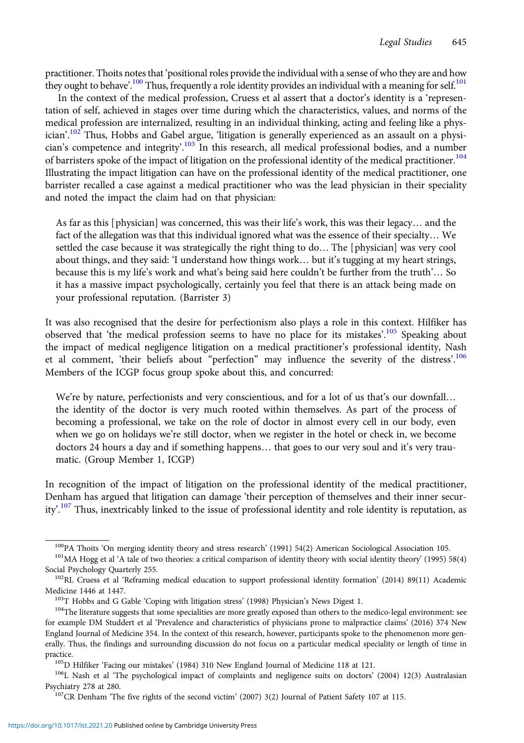practitioner. Thoits notes that 'positional roles provide the individual with a sense of who they are and how they ought to behave'.<sup>100</sup> Thus, frequently a role identity provides an individual with a meaning for self.<sup>101</sup>

In the context of the medical profession, Cruess et al assert that a doctor's identity is a 'representation of self, achieved in stages over time during which the characteristics, values, and norms of the medical profession are internalized, resulting in an individual thinking, acting and feeling like a physician'.<sup>102</sup> Thus, Hobbs and Gabel argue, 'litigation is generally experienced as an assault on a physician's competence and integrity'.<sup>103</sup> In this research, all medical professional bodies, and a number of barristers spoke of the impact of litigation on the professional identity of the medical practitioner.<sup>104</sup> Illustrating the impact litigation can have on the professional identity of the medical practitioner, one barrister recalled a case against a medical practitioner who was the lead physician in their speciality and noted the impact the claim had on that physician:

As far as this [physician] was concerned, this was their life's work, this was their legacy… and the fact of the allegation was that this individual ignored what was the essence of their specialty… We settled the case because it was strategically the right thing to do… The [physician] was very cool about things, and they said: 'I understand how things work… but it's tugging at my heart strings, because this is my life's work and what's being said here couldn't be further from the truth'… So it has a massive impact psychologically, certainly you feel that there is an attack being made on your professional reputation. (Barrister 3)

It was also recognised that the desire for perfectionism also plays a role in this context. Hilfiker has observed that 'the medical profession seems to have no place for its mistakes'.<sup>105</sup> Speaking about the impact of medical negligence litigation on a medical practitioner's professional identity, Nash et al comment, 'their beliefs about "perfection" may influence the severity of the distress'.<sup>106</sup> Members of the ICGP focus group spoke about this, and concurred:

We're by nature, perfectionists and very conscientious, and for a lot of us that's our downfall... the identity of the doctor is very much rooted within themselves. As part of the process of becoming a professional, we take on the role of doctor in almost every cell in our body, even when we go on holidays we're still doctor, when we register in the hotel or check in, we become doctors 24 hours a day and if something happens… that goes to our very soul and it's very traumatic. (Group Member 1, ICGP)

In recognition of the impact of litigation on the professional identity of the medical practitioner, Denham has argued that litigation can damage 'their perception of themselves and their inner security'.<sup>107</sup> Thus, inextricably linked to the issue of professional identity and role identity is reputation, as

<sup>&</sup>lt;sup>100</sup>PA Thoits 'On merging identity theory and stress research' (1991) 54(2) American Sociological Association 105.<br><sup>101</sup>MA Hogg et al 'A tale of two theories: a critical comparison of identity theory with social identity

Social Psychology Quarterly 255.<br><sup>102</sup>RL Cruess et al 'Reframing medical education to support professional identity formation' (2014) 89(11) Academic

Medicine 1446 at 1447.<br><sup>103</sup>T Hobbs and G Gable 'Coping with litigation stress' (1998) Physician's News Digest 1.<br><sup>104</sup>The literature suggests that some specialities are more greatly exposed than others to the medico-legal

for example DM Studdert et al 'Prevalence and characteristics of physicians prone to malpractice claims' (2016) 374 New England Journal of Medicine 354. In the context of this research, however, participants spoke to the phenomenon more generally. Thus, the findings and surrounding discussion do not focus on a particular medical speciality or length of time in practice.<br><sup>105</sup>D Hilfiker 'Facing our mistakes' (1984) 310 New England Journal of Medicine 118 at 121.<br><sup>106</sup>L Nash et al 'The psychological impact of complaints and negligence suits on doctors' (2004) 12(3) Australasian

Psychiatry 278 at 280.<br><sup>107</sup>CR Denham 'The five rights of the second victim' (2007) 3(2) Journal of Patient Safety 107 at 115.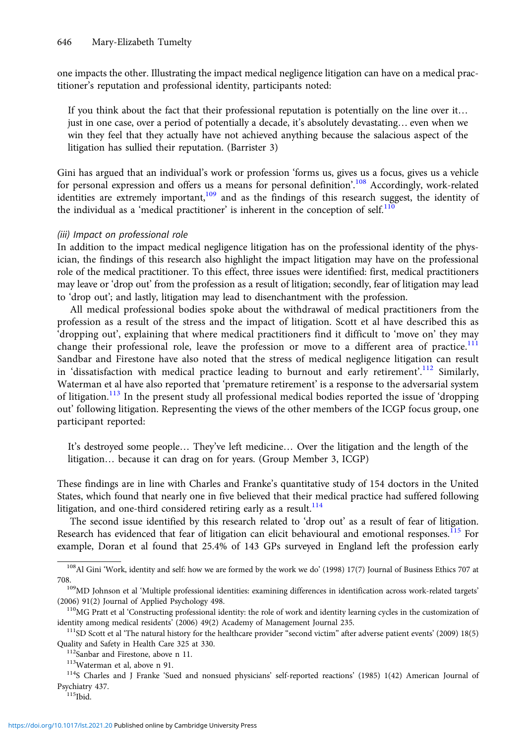one impacts the other. Illustrating the impact medical negligence litigation can have on a medical practitioner's reputation and professional identity, participants noted:

If you think about the fact that their professional reputation is potentially on the line over it… just in one case, over a period of potentially a decade, it's absolutely devastating… even when we win they feel that they actually have not achieved anything because the salacious aspect of the litigation has sullied their reputation. (Barrister 3)

Gini has argued that an individual's work or profession 'forms us, gives us a focus, gives us a vehicle for personal expression and offers us a means for personal definition'.<sup>108</sup> Accordingly, work-related identities are extremely important,<sup>109</sup> and as the findings of this research suggest, the identity of the individual as a 'medical practitioner' is inherent in the conception of self.<sup>110</sup>

#### (iii) Impact on professional role

In addition to the impact medical negligence litigation has on the professional identity of the physician, the findings of this research also highlight the impact litigation may have on the professional role of the medical practitioner. To this effect, three issues were identified: first, medical practitioners may leave or 'drop out' from the profession as a result of litigation; secondly, fear of litigation may lead to 'drop out'; and lastly, litigation may lead to disenchantment with the profession.

All medical professional bodies spoke about the withdrawal of medical practitioners from the profession as a result of the stress and the impact of litigation. Scott et al have described this as 'dropping out', explaining that where medical practitioners find it difficult to 'move on' they may change their professional role, leave the profession or move to a different area of practice.<sup>111</sup> Sandbar and Firestone have also noted that the stress of medical negligence litigation can result in 'dissatisfaction with medical practice leading to burnout and early retirement'.<sup>112</sup> Similarly, Waterman et al have also reported that 'premature retirement' is a response to the adversarial system of litigation.<sup>113</sup> In the present study all professional medical bodies reported the issue of 'dropping out' following litigation. Representing the views of the other members of the ICGP focus group, one participant reported:

It's destroyed some people… They've left medicine… Over the litigation and the length of the litigation… because it can drag on for years. (Group Member 3, ICGP)

These findings are in line with Charles and Franke's quantitative study of 154 doctors in the United States, which found that nearly one in five believed that their medical practice had suffered following litigation, and one-third considered retiring early as a result.<sup>114</sup>

The second issue identified by this research related to 'drop out' as a result of fear of litigation. Research has evidenced that fear of litigation can elicit behavioural and emotional responses.<sup>115</sup> For example, Doran et al found that 25.4% of 143 GPs surveyed in England left the profession early

<sup>108</sup>Al Gini 'Work, identity and self: how we are formed by the work we do' (1998) 17(7) Journal of Business Ethics 707 at

<sup>708.</sup> 109MD Johnson et al 'Multiple professional identities: examining differences in identification across work-related targets' (2006) 91(2) Journal of Applied Psychology 498.<br> $110$ MG Pratt et al 'Constructing professional identity: the role of work and identity learning cycles in the customization of

identity among medical residents' (2006) 49(2) Academy of Management Journal 235.<br><sup>111</sup>SD Scott et al 'The natural history for the healthcare provider "second victim" after adverse patient events' (2009) 18(5)

Quality and Safety in Health Care 325 at 330.<br>
<sup>112</sup>Sanbar and Firestone, above n 11.<br>
<sup>113</sup>Waterman et al, above n 91.<br>
<sup>114</sup>S Charles and J Franke 'Sued and nonsued physicians' self-reported reactions' (1985) 1(42) Ameri

Psychiatry 437.<br><sup>115</sup>Ibid.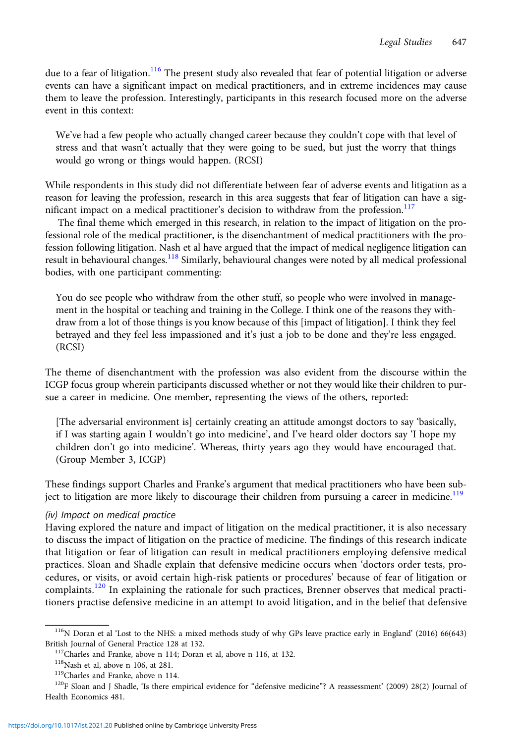due to a fear of litigation.<sup>116</sup> The present study also revealed that fear of potential litigation or adverse events can have a significant impact on medical practitioners, and in extreme incidences may cause them to leave the profession. Interestingly, participants in this research focused more on the adverse event in this context:

We've had a few people who actually changed career because they couldn't cope with that level of stress and that wasn't actually that they were going to be sued, but just the worry that things would go wrong or things would happen. (RCSI)

While respondents in this study did not differentiate between fear of adverse events and litigation as a reason for leaving the profession, research in this area suggests that fear of litigation can have a significant impact on a medical practitioner's decision to withdraw from the profession.<sup>117</sup>

The final theme which emerged in this research, in relation to the impact of litigation on the professional role of the medical practitioner, is the disenchantment of medical practitioners with the profession following litigation. Nash et al have argued that the impact of medical negligence litigation can result in behavioural changes.<sup>118</sup> Similarly, behavioural changes were noted by all medical professional bodies, with one participant commenting:

You do see people who withdraw from the other stuff, so people who were involved in management in the hospital or teaching and training in the College. I think one of the reasons they withdraw from a lot of those things is you know because of this [impact of litigation]. I think they feel betrayed and they feel less impassioned and it's just a job to be done and they're less engaged. (RCSI)

The theme of disenchantment with the profession was also evident from the discourse within the ICGP focus group wherein participants discussed whether or not they would like their children to pursue a career in medicine. One member, representing the views of the others, reported:

[The adversarial environment is] certainly creating an attitude amongst doctors to say 'basically, if I was starting again I wouldn't go into medicine', and I've heard older doctors say 'I hope my children don't go into medicine'. Whereas, thirty years ago they would have encouraged that. (Group Member 3, ICGP)

These findings support Charles and Franke's argument that medical practitioners who have been subject to litigation are more likely to discourage their children from pursuing a career in medicine.<sup>119</sup>

## (iv) Impact on medical practice

Having explored the nature and impact of litigation on the medical practitioner, it is also necessary to discuss the impact of litigation on the practice of medicine. The findings of this research indicate that litigation or fear of litigation can result in medical practitioners employing defensive medical practices. Sloan and Shadle explain that defensive medicine occurs when 'doctors order tests, procedures, or visits, or avoid certain high-risk patients or procedures' because of fear of litigation or complaints.<sup>120</sup> In explaining the rationale for such practices, Brenner observes that medical practitioners practise defensive medicine in an attempt to avoid litigation, and in the belief that defensive

<sup>116</sup>N Doran et al 'Lost to the NHS: a mixed methods study of why GPs leave practice early in England' (2016) 66(643)

British Journal of General Practice 128 at 132.<br><sup>117</sup>Charles and Franke, above n 114; Doran et al, above n 116, at 132.<br><sup>118</sup>Nash et al, above n 106, at 281.<br><sup>118</sup>Nash et al, above n 106, at 281.<br><sup>119</sup>Charles and Franke, a Health Economics 481.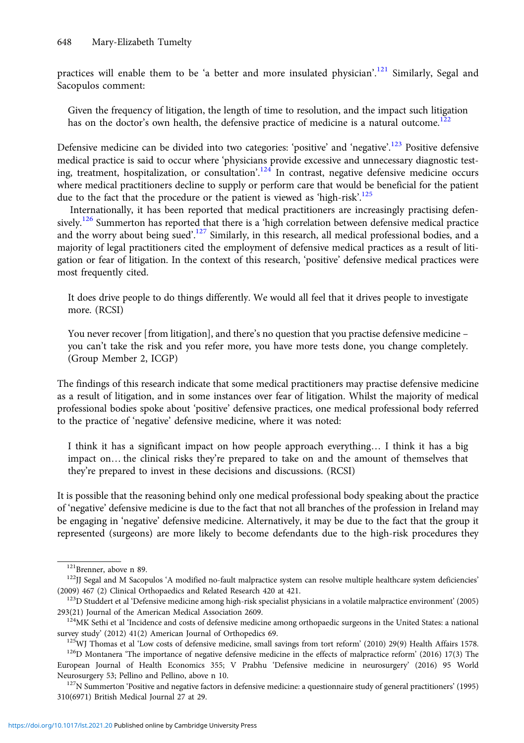practices will enable them to be 'a better and more insulated physician'.<sup>121</sup> Similarly, Segal and Sacopulos comment:

Given the frequency of litigation, the length of time to resolution, and the impact such litigation has on the doctor's own health, the defensive practice of medicine is a natural outcome.<sup>122</sup>

Defensive medicine can be divided into two categories: 'positive' and 'negative'.<sup>123</sup> Positive defensive medical practice is said to occur where 'physicians provide excessive and unnecessary diagnostic testing, treatment, hospitalization, or consultation'.<sup>124</sup> In contrast, negative defensive medicine occurs where medical practitioners decline to supply or perform care that would be beneficial for the patient due to the fact that the procedure or the patient is viewed as 'high-risk'.<sup>125</sup>

Internationally, it has been reported that medical practitioners are increasingly practising defensively.<sup>126</sup> Summerton has reported that there is a 'high correlation between defensive medical practice and the worry about being sued'.<sup>127</sup> Similarly, in this research, all medical professional bodies, and a majority of legal practitioners cited the employment of defensive medical practices as a result of litigation or fear of litigation. In the context of this research, 'positive' defensive medical practices were most frequently cited.

It does drive people to do things differently. We would all feel that it drives people to investigate more. (RCSI)

You never recover [from litigation], and there's no question that you practise defensive medicine – you can't take the risk and you refer more, you have more tests done, you change completely. (Group Member 2, ICGP)

The findings of this research indicate that some medical practitioners may practise defensive medicine as a result of litigation, and in some instances over fear of litigation. Whilst the majority of medical professional bodies spoke about 'positive' defensive practices, one medical professional body referred to the practice of 'negative' defensive medicine, where it was noted:

I think it has a significant impact on how people approach everything… I think it has a big impact on… the clinical risks they're prepared to take on and the amount of themselves that they're prepared to invest in these decisions and discussions. (RCSI)

It is possible that the reasoning behind only one medical professional body speaking about the practice of 'negative' defensive medicine is due to the fact that not all branches of the profession in Ireland may be engaging in 'negative' defensive medicine. Alternatively, it may be due to the fact that the group it represented (surgeons) are more likely to become defendants due to the high-risk procedures they

<sup>&</sup>lt;sup>121</sup>Brenner, above n 89.<br><sup>122</sup>JJ Segal and M Sacopulos 'A modified no-fault malpractice system can resolve multiple healthcare system deficiencies'

<sup>(2009) 467 (2)</sup> Clinical Orthopaedics and Related Research 420 at 421.<br><sup>123</sup>D Studdert et al 'Defensive medicine among high-risk specialist physicians in a volatile malpractice environment' (2005)<br>293(21) Journal of the Am

<sup>&</sup>lt;sup>124</sup>MK Sethi et al 'Incidence and costs of defensive medicine among orthopaedic surgeons in the United States: a national

survey study' (2012) 41(2) American Journal of Orthopedics 69.<br><sup>125</sup>WJ Thomas et al 'Low costs of defensive medicine, small savings from tort reform' (2010) 29(9) Health Affairs 1578.<br><sup>126</sup>D Montanera 'The importance of ne European Journal of Health Economics 355; V Prabhu 'Defensive medicine in neurosurgery' (2016) 95 World

Neurosurgery 53; Pellino and Pellino, above n 10.<br><sup>127</sup>N Summerton 'Positive and negative factors in defensive medicine: a questionnaire study of general practitioners' (1995) 310(6971) British Medical Journal 27 at 29.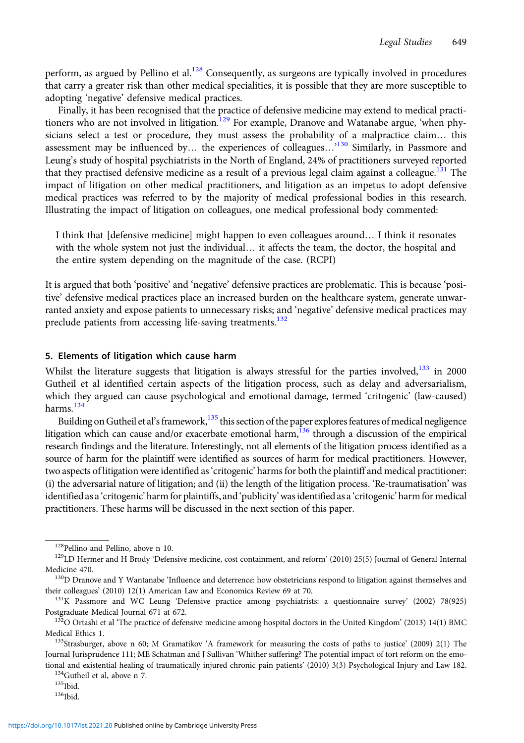perform, as argued by Pellino et al.<sup>128</sup> Consequently, as surgeons are typically involved in procedures that carry a greater risk than other medical specialities, it is possible that they are more susceptible to adopting 'negative' defensive medical practices.

Finally, it has been recognised that the practice of defensive medicine may extend to medical practitioners who are not involved in litigation.<sup>129</sup> For example, Dranove and Watanabe argue, 'when physicians select a test or procedure, they must assess the probability of a malpractice claim… this assessment may be influenced by... the experiences of colleagues...<sup> $130$ </sup> Similarly, in Passmore and Leung's study of hospital psychiatrists in the North of England, 24% of practitioners surveyed reported that they practised defensive medicine as a result of a previous legal claim against a colleague.<sup>131</sup> The impact of litigation on other medical practitioners, and litigation as an impetus to adopt defensive medical practices was referred to by the majority of medical professional bodies in this research. Illustrating the impact of litigation on colleagues, one medical professional body commented:

I think that [defensive medicine] might happen to even colleagues around… I think it resonates with the whole system not just the individual… it affects the team, the doctor, the hospital and the entire system depending on the magnitude of the case. (RCPI)

It is argued that both 'positive' and 'negative' defensive practices are problematic. This is because 'positive' defensive medical practices place an increased burden on the healthcare system, generate unwarranted anxiety and expose patients to unnecessary risks; and 'negative' defensive medical practices may preclude patients from accessing life-saving treatments.<sup>132</sup>

#### 5. Elements of litigation which cause harm

Whilst the literature suggests that litigation is always stressful for the parties involved,<sup>133</sup> in 2000 Gutheil et al identified certain aspects of the litigation process, such as delay and adversarialism, which they argued can cause psychological and emotional damage, termed 'critogenic' (law-caused) harms.<sup>134</sup>

Building on Gutheil et al's framework,<sup>135</sup> this section of the paper explores features of medical negligence litigation which can cause and/or exacerbate emotional harm,<sup>136</sup> through a discussion of the empirical research findings and the literature. Interestingly, not all elements of the litigation process identified as a source of harm for the plaintiff were identified as sources of harm for medical practitioners. However, two aspects of litigation were identified as'critogenic' harms for both the plaintiff and medical practitioner: (i) the adversarial nature of litigation; and (ii) the length of the litigation process. 'Re-traumatisation' was identified as a 'critogenic' harm for plaintiffs, and 'publicity' was identified as a 'critogenic' harm for medical practitioners. These harms will be discussed in the next section of this paper.

<sup>&</sup>lt;sup>128</sup>Pellino and Pellino, above n 10.<br><sup>129</sup>LD Hermer and H Brody 'Defensive medicine, cost containment, and reform' (2010) 25(5) Journal of General Internal

Medicine 470.<br><sup>130</sup>D Dranove and Y Wantanabe 'Influence and deterrence: how obstetricians respond to litigation against themselves and their colleagues' (2010) 12(1) American Law and Economics Review 69 at 70.<br><sup>131</sup>K Passmore and WC Leung 'Defensive practice among psychiatrists: a questionnaire survey' (2002) 78(925)

Postgraduate Medical Journal 671 at 672.<br><sup>132</sup>O Ortashi et al 'The practice of defensive medicine among hospital doctors in the United Kingdom' (2013) 14(1) BMC

Medical Ethics 1.<br><sup>133</sup>Strasburger, above n 60; M Gramatikov 'A framework for measuring the costs of paths to justice' (2009) 2(1) The

Journal Jurisprudence 111; ME Schatman and J Sullivan 'Whither suffering? The potential impact of tort reform on the emotional and existential healing of traumatically injured chronic pain patients' (2010) 3(3) Psychological Injury and Law 182.<br><sup>134</sup>Gutheil et al, above n 7.<br><sup>135</sup>Ibid. <sup>136</sup>Ibid.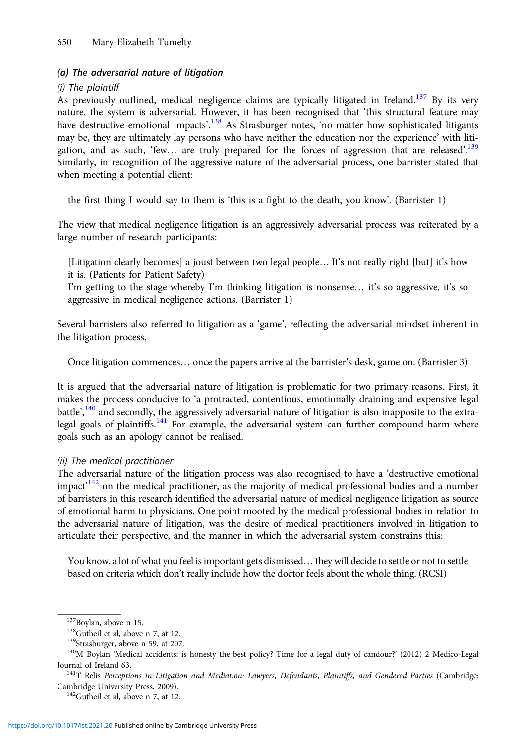## (a) The adversarial nature of litigation

#### (i) The plaintiff

As previously outlined, medical negligence claims are typically litigated in Ireland.<sup>137</sup> By its very nature, the system is adversarial. However, it has been recognised that 'this structural feature may have destructive emotional impacts'.<sup>138</sup> As Strasburger notes, 'no matter how sophisticated litigants may be, they are ultimately lay persons who have neither the education nor the experience' with litigation, and as such, 'few... are truly prepared for the forces of aggression that are released'.<sup>139</sup> Similarly, in recognition of the aggressive nature of the adversarial process, one barrister stated that when meeting a potential client:

the first thing I would say to them is 'this is a fight to the death, you know'. (Barrister 1)

The view that medical negligence litigation is an aggressively adversarial process was reiterated by a large number of research participants:

[Litigation clearly becomes] a joust between two legal people… It's not really right [but] it's how it is. (Patients for Patient Safety)

I'm getting to the stage whereby I'm thinking litigation is nonsense… it's so aggressive, it's so aggressive in medical negligence actions. (Barrister 1)

Several barristers also referred to litigation as a 'game', reflecting the adversarial mindset inherent in the litigation process.

Once litigation commences… once the papers arrive at the barrister's desk, game on. (Barrister 3)

It is argued that the adversarial nature of litigation is problematic for two primary reasons. First, it makes the process conducive to 'a protracted, contentious, emotionally draining and expensive legal battle',<sup>140</sup> and secondly, the aggressively adversarial nature of litigation is also inapposite to the extralegal goals of plaintiffs. $141$  For example, the adversarial system can further compound harm where goals such as an apology cannot be realised.

#### (ii) The medical practitioner

The adversarial nature of the litigation process was also recognised to have a 'destructive emotional impact<sup>142</sup> on the medical practitioner, as the majority of medical professional bodies and a number of barristers in this research identified the adversarial nature of medical negligence litigation as source of emotional harm to physicians. One point mooted by the medical professional bodies in relation to the adversarial nature of litigation, was the desire of medical practitioners involved in litigation to articulate their perspective, and the manner in which the adversarial system constrains this:

You know, a lot of what you feel is important gets dismissed… they will decide to settle or not to settle based on criteria which don't really include how the doctor feels about the whole thing. (RCSI)

<sup>&</sup>lt;sup>137</sup>Boylan, above n 15.<br><sup>138</sup>Gutheil et al, above n 7, at 12.<br><sup>139</sup>Strasburger, above n 59, at 207.<br><sup>139</sup>Strasburger, above n 59, at 207.<br><sup>140</sup>M Boylan 'Medical accidents: is honesty the best policy? Time for a legal dut Journal of Ireland 63.<br><sup>141</sup>T Relis *Perceptions in Litigation and Mediation: Lawyers, Defendants, Plaintiffs, and Gendered Parties (Cambridge:* 

Cambridge University Press, 2009). 142Gutheil et al, above n 7, at 12.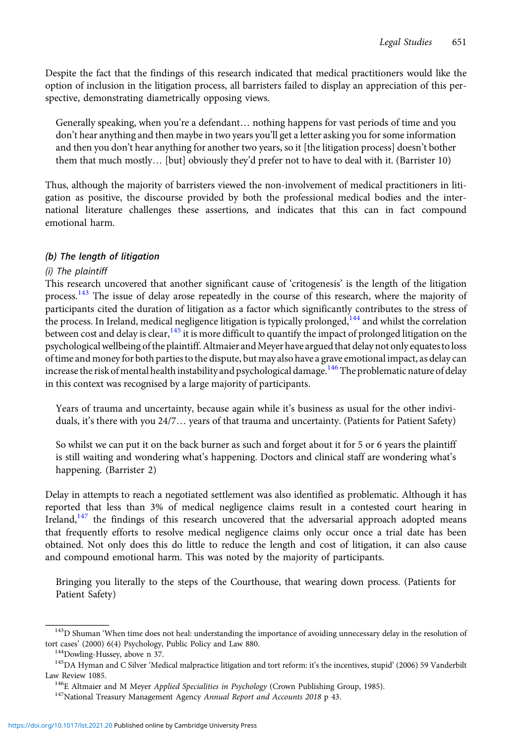Despite the fact that the findings of this research indicated that medical practitioners would like the option of inclusion in the litigation process, all barristers failed to display an appreciation of this perspective, demonstrating diametrically opposing views.

Generally speaking, when you're a defendant... nothing happens for vast periods of time and you don't hear anything and then maybe in two years you'll get a letter asking you for some information and then you don't hear anything for another two years, so it [the litigation process] doesn't bother them that much mostly… [but] obviously they'd prefer not to have to deal with it. (Barrister 10)

Thus, although the majority of barristers viewed the non-involvement of medical practitioners in litigation as positive, the discourse provided by both the professional medical bodies and the international literature challenges these assertions, and indicates that this can in fact compound emotional harm.

## (b) The length of litigation

## (i) The plaintiff

This research uncovered that another significant cause of 'critogenesis' is the length of the litigation process.<sup>143</sup> The issue of delay arose repeatedly in the course of this research, where the majority of participants cited the duration of litigation as a factor which significantly contributes to the stress of the process. In Ireland, medical negligence litigation is typically prolonged,<sup>144</sup> and whilst the correlation between cost and delay is clear,<sup>145</sup> it is more difficult to quantify the impact of prolonged litigation on the psychological wellbeing of the plaintiff. Altmaier and Meyer have argued that delay not only equates to loss of time and money for both parties to the dispute, but may also have a grave emotional impact, as delay can increase the risk of mental health instability and psychological damage.<sup>146</sup>The problematic nature of delay in this context was recognised by a large majority of participants.

Years of trauma and uncertainty, because again while it's business as usual for the other individuals, it's there with you 24/7… years of that trauma and uncertainty. (Patients for Patient Safety)

So whilst we can put it on the back burner as such and forget about it for 5 or 6 years the plaintiff is still waiting and wondering what's happening. Doctors and clinical staff are wondering what's happening. (Barrister 2)

Delay in attempts to reach a negotiated settlement was also identified as problematic. Although it has reported that less than 3% of medical negligence claims result in a contested court hearing in Ireland, $147$  the findings of this research uncovered that the adversarial approach adopted means that frequently efforts to resolve medical negligence claims only occur once a trial date has been obtained. Not only does this do little to reduce the length and cost of litigation, it can also cause and compound emotional harm. This was noted by the majority of participants.

Bringing you literally to the steps of the Courthouse, that wearing down process. (Patients for Patient Safety)

<sup>&</sup>lt;sup>143</sup>D Shuman 'When time does not heal: understanding the importance of avoiding unnecessary delay in the resolution of tort cases' (2000) 6(4) Psychology, Public Policy and Law 880.<br><sup>144</sup>Dowling-Hussey, above n 37.

<sup>&</sup>lt;sup>145</sup>DA Hyman and C Silver 'Medical malpractice litigation and tort reform: it's the incentives, stupid' (2006) 59 Vanderbilt

Law Review 1085.<br><sup>146</sup>E Altmaier and M Meyer *Applied Specialities in Psychology* (Crown Publishing Group, 1985).<br><sup>147</sup>National Treasury Management Agency *Annual Report and Accounts 2018* p 43.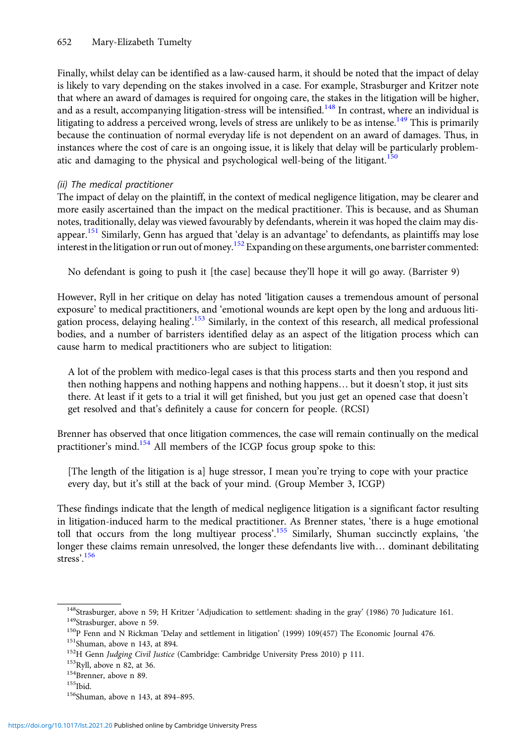Finally, whilst delay can be identified as a law-caused harm, it should be noted that the impact of delay is likely to vary depending on the stakes involved in a case. For example, Strasburger and Kritzer note that where an award of damages is required for ongoing care, the stakes in the litigation will be higher, and as a result, accompanying litigation-stress will be intensified.<sup>148</sup> In contrast, where an individual is litigating to address a perceived wrong, levels of stress are unlikely to be as intense.<sup>149</sup> This is primarily because the continuation of normal everyday life is not dependent on an award of damages. Thus, in instances where the cost of care is an ongoing issue, it is likely that delay will be particularly problematic and damaging to the physical and psychological well-being of the litigant.<sup>150</sup>

## (ii) The medical practitioner

The impact of delay on the plaintiff, in the context of medical negligence litigation, may be clearer and more easily ascertained than the impact on the medical practitioner. This is because, and as Shuman notes, traditionally, delay was viewed favourably by defendants, wherein it was hoped the claim may disappear.<sup>151</sup> Similarly, Genn has argued that 'delay is an advantage' to defendants, as plaintiffs may lose interest in the litigation or run out of money.<sup>152</sup> Expanding on these arguments, one barrister commented:

No defendant is going to push it [the case] because they'll hope it will go away. (Barrister 9)

However, Ryll in her critique on delay has noted 'litigation causes a tremendous amount of personal exposure' to medical practitioners, and 'emotional wounds are kept open by the long and arduous litigation process, delaying healing'.<sup>153</sup> Similarly, in the context of this research, all medical professional bodies, and a number of barristers identified delay as an aspect of the litigation process which can cause harm to medical practitioners who are subject to litigation:

A lot of the problem with medico-legal cases is that this process starts and then you respond and then nothing happens and nothing happens and nothing happens… but it doesn't stop, it just sits there. At least if it gets to a trial it will get finished, but you just get an opened case that doesn't get resolved and that's definitely a cause for concern for people. (RCSI)

Brenner has observed that once litigation commences, the case will remain continually on the medical practitioner's mind.<sup>154</sup> All members of the ICGP focus group spoke to this:

[The length of the litigation is a] huge stressor, I mean you're trying to cope with your practice every day, but it's still at the back of your mind. (Group Member 3, ICGP)

These findings indicate that the length of medical negligence litigation is a significant factor resulting in litigation-induced harm to the medical practitioner. As Brenner states, 'there is a huge emotional toll that occurs from the long multiyear process'.<sup>155</sup> Similarly, Shuman succinctly explains, 'the longer these claims remain unresolved, the longer these defendants live with… dominant debilitating stress'. 156

<sup>&</sup>lt;sup>148</sup>Strasburger, above n 59; H Kritzer 'Adjudication to settlement: shading in the gray' (1986) 70 Judicature 161.<br><sup>149</sup>Strasburger, above n 59.<br><sup>150</sup>P Fenn and N Rickman 'Delay and settlement in litigation' (1999) 109(4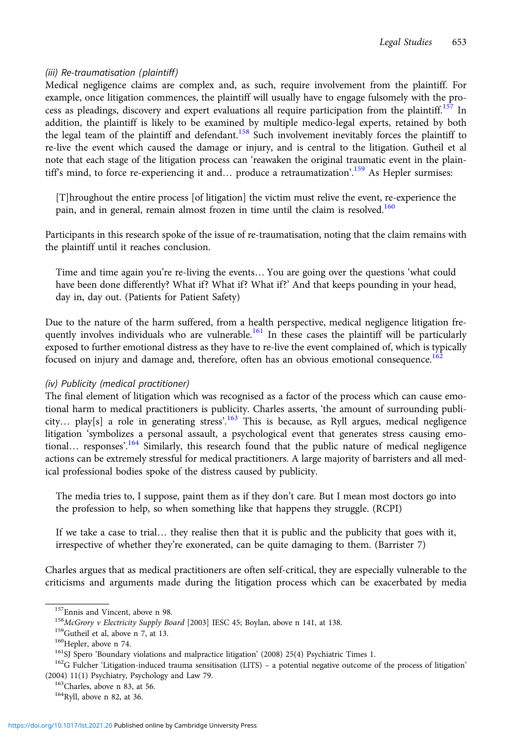## (iii) Re-traumatisation (plaintiff)

Medical negligence claims are complex and, as such, require involvement from the plaintiff. For example, once litigation commences, the plaintiff will usually have to engage fulsomely with the process as pleadings, discovery and expert evaluations all require participation from the plaintiff.<sup>157</sup> In addition, the plaintiff is likely to be examined by multiple medico-legal experts, retained by both the legal team of the plaintiff and defendant.<sup>158</sup> Such involvement inevitably forces the plaintiff to re-live the event which caused the damage or injury, and is central to the litigation. Gutheil et al note that each stage of the litigation process can 'reawaken the original traumatic event in the plaintiff's mind, to force re-experiencing it and... produce a retraumatization'.<sup>159</sup> As Hepler surmises:

[T]hroughout the entire process [of litigation] the victim must relive the event, re-experience the pain, and in general, remain almost frozen in time until the claim is resolved.<sup>160</sup>

Participants in this research spoke of the issue of re-traumatisation, noting that the claim remains with the plaintiff until it reaches conclusion.

Time and time again you're re-living the events... You are going over the questions 'what could have been done differently? What if? What if? What if?' And that keeps pounding in your head, day in, day out. (Patients for Patient Safety)

Due to the nature of the harm suffered, from a health perspective, medical negligence litigation frequently involves individuals who are vulnerable.<sup>161</sup> In these cases the plaintiff will be particularly exposed to further emotional distress as they have to re-live the event complained of, which is typically focused on injury and damage and, therefore, often has an obvious emotional consequence.<sup>162</sup>

## (iv) Publicity (medical practitioner)

The final element of litigation which was recognised as a factor of the process which can cause emotional harm to medical practitioners is publicity. Charles asserts, 'the amount of surrounding publicity... play[s] a role in generating stress'.<sup>163</sup> This is because, as Ryll argues, medical negligence litigation 'symbolizes a personal assault, a psychological event that generates stress causing emotional... responses'.<sup>164</sup> Similarly, this research found that the public nature of medical negligence actions can be extremely stressful for medical practitioners. A large majority of barristers and all medical professional bodies spoke of the distress caused by publicity.

The media tries to, I suppose, paint them as if they don't care. But I mean most doctors go into the profession to help, so when something like that happens they struggle. (RCPI)

If we take a case to trial… they realise then that it is public and the publicity that goes with it, irrespective of whether they're exonerated, can be quite damaging to them. (Barrister 7)

Charles argues that as medical practitioners are often self-critical, they are especially vulnerable to the criticisms and arguments made during the litigation process which can be exacerbated by media

<sup>&</sup>lt;sup>157</sup>Ennis and Vincent, above n 98.<br><sup>158</sup>*McGrory v Electricity Supply Board* [2003] IESC 45; Boylan, above n 141, at 138.<br><sup>159</sup>Gutheil et al, above n 7, at 13.<br><sup>160</sup>Hepler, above n 74.<br><sup>161</sup>SJ Spero 'Boundary violations (2004) 11(1) Psychiatry, Psychology and Law 79.<br><sup>163</sup>Charles, above n 83, at 56. <sup>164</sup>Ryll, above n 82, at 36.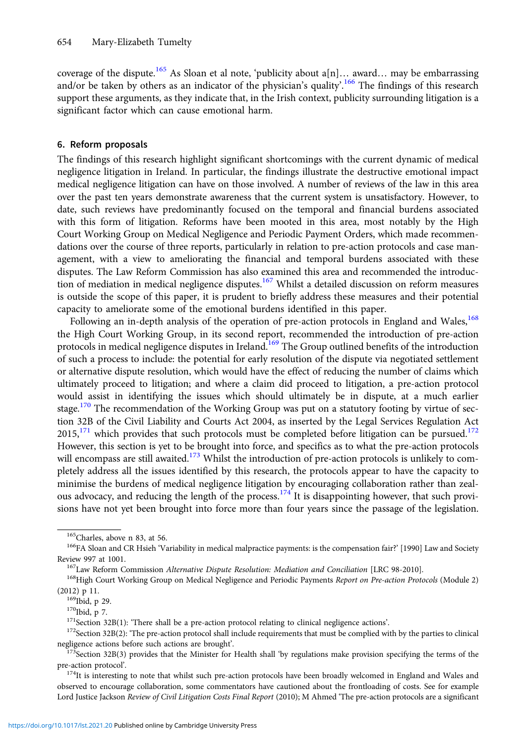coverage of the dispute.<sup>165</sup> As Sloan et al note, 'publicity about  $a[n]...$  award... may be embarrassing and/or be taken by others as an indicator of the physician's quality'.<sup>166</sup> The findings of this research support these arguments, as they indicate that, in the Irish context, publicity surrounding litigation is a significant factor which can cause emotional harm.

#### 6. Reform proposals

The findings of this research highlight significant shortcomings with the current dynamic of medical negligence litigation in Ireland. In particular, the findings illustrate the destructive emotional impact medical negligence litigation can have on those involved. A number of reviews of the law in this area over the past ten years demonstrate awareness that the current system is unsatisfactory. However, to date, such reviews have predominantly focused on the temporal and financial burdens associated with this form of litigation. Reforms have been mooted in this area, most notably by the High Court Working Group on Medical Negligence and Periodic Payment Orders, which made recommendations over the course of three reports, particularly in relation to pre-action protocols and case management, with a view to ameliorating the financial and temporal burdens associated with these disputes. The Law Reform Commission has also examined this area and recommended the introduction of mediation in medical negligence disputes.<sup>167</sup> Whilst a detailed discussion on reform measures is outside the scope of this paper, it is prudent to briefly address these measures and their potential capacity to ameliorate some of the emotional burdens identified in this paper.

Following an in-depth analysis of the operation of pre-action protocols in England and Wales,<sup>168</sup> the High Court Working Group, in its second report, recommended the introduction of pre-action protocols in medical negligence disputes in Ireland.<sup>169</sup> The Group outlined benefits of the introduction of such a process to include: the potential for early resolution of the dispute via negotiated settlement or alternative dispute resolution, which would have the effect of reducing the number of claims which ultimately proceed to litigation; and where a claim did proceed to litigation, a pre-action protocol would assist in identifying the issues which should ultimately be in dispute, at a much earlier stage.<sup>170</sup> The recommendation of the Working Group was put on a statutory footing by virtue of section 32B of the Civil Liability and Courts Act 2004, as inserted by the Legal Services Regulation Act  $2015$ ,<sup>171</sup> which provides that such protocols must be completed before litigation can be pursued.<sup>172</sup> However, this section is yet to be brought into force, and specifics as to what the pre-action protocols will encompass are still awaited.<sup>173</sup> Whilst the introduction of pre-action protocols is unlikely to completely address all the issues identified by this research, the protocols appear to have the capacity to minimise the burdens of medical negligence litigation by encouraging collaboration rather than zealous advocacy, and reducing the length of the process.<sup>174</sup> It is disappointing however, that such provisions have not yet been brought into force more than four years since the passage of the legislation.

(2012) p 11.<br><sup>169</sup>Ibid, p 29.<br><sup>170</sup>Ibid, p 7.<br><sup>171</sup>Section 32B(1): 'There shall be a pre-action protocol relating to clinical negligence actions'.<br><sup>171</sup>Section 32B(2): 'The pre-action protocol shall include requirements t

<sup>&</sup>lt;sup>165</sup>Charles, above n 83, at 56.<br><sup>166</sup>FA Sloan and CR Hsieh 'Variability in medical malpractice payments: is the compensation fair?' [1990] Law and Society Review 997 at 1001.<br><sup>167</sup>Law Reform Commission *Alternative Dispute Resolution: Mediation and Conciliation* [LRC 98-2010].<br><sup>168</sup>High Court Working Group on Medical Negligence and Periodic Payments *Report on Pre-action Pro* 

negligence actions before such actions are brought'.<br><sup>173</sup>Section 32B(3) provides that the Minister for Health shall 'by regulations make provision specifying the terms of the

pre-action protocol'.<br> $174$ It is interesting to note that whilst such pre-action protocols have been broadly welcomed in England and Wales and

observed to encourage collaboration, some commentators have cautioned about the frontloading of costs. See for example Lord Justice Jackson Review of Civil Litigation Costs Final Report (2010); M Ahmed 'The pre-action protocols are a significant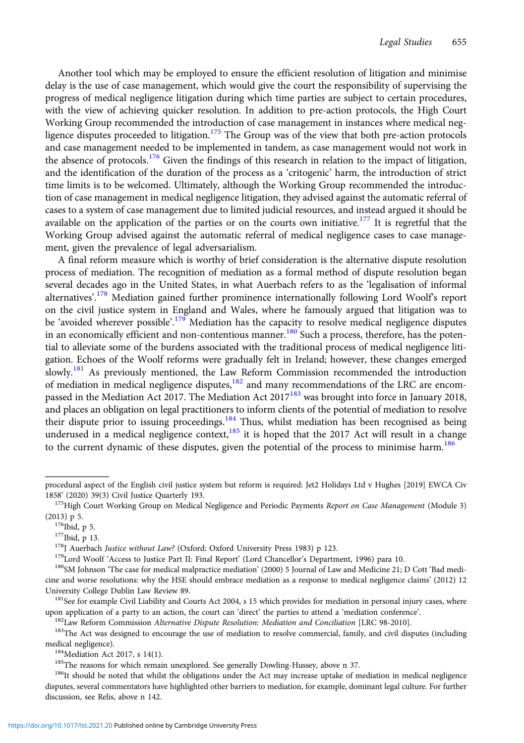Another tool which may be employed to ensure the efficient resolution of litigation and minimise delay is the use of case management, which would give the court the responsibility of supervising the progress of medical negligence litigation during which time parties are subject to certain procedures, with the view of achieving quicker resolution. In addition to pre-action protocols, the High Court Working Group recommended the introduction of case management in instances where medical negligence disputes proceeded to litigation.<sup>175</sup> The Group was of the view that both pre-action protocols and case management needed to be implemented in tandem, as case management would not work in the absence of protocols.<sup>176</sup> Given the findings of this research in relation to the impact of litigation, and the identification of the duration of the process as a 'critogenic' harm, the introduction of strict time limits is to be welcomed. Ultimately, although the Working Group recommended the introduction of case management in medical negligence litigation, they advised against the automatic referral of cases to a system of case management due to limited judicial resources, and instead argued it should be available on the application of the parties or on the courts own initiative.<sup>177</sup> It is regretful that the Working Group advised against the automatic referral of medical negligence cases to case management, given the prevalence of legal adversarialism.

A final reform measure which is worthy of brief consideration is the alternative dispute resolution process of mediation. The recognition of mediation as a formal method of dispute resolution began several decades ago in the United States, in what Auerbach refers to as the 'legalisation of informal alternatives'.<sup>178</sup> Mediation gained further prominence internationally following Lord Woolf's report on the civil justice system in England and Wales, where he famously argued that litigation was to be 'avoided wherever possible'.<sup>179</sup> Mediation has the capacity to resolve medical negligence disputes in an economically efficient and non-contentious manner.<sup>180</sup> Such a process, therefore, has the potential to alleviate some of the burdens associated with the traditional process of medical negligence litigation. Echoes of the Woolf reforms were gradually felt in Ireland; however, these changes emerged slowly.<sup>181</sup> As previously mentioned, the Law Reform Commission recommended the introduction of mediation in medical negligence disputes,<sup>182</sup> and many recommendations of the LRC are encompassed in the Mediation Act 2017. The Mediation Act 2017<sup>183</sup> was brought into force in January 2018, and places an obligation on legal practitioners to inform clients of the potential of mediation to resolve their dispute prior to issuing proceedings.<sup>184</sup> Thus, whilst mediation has been recognised as being underused in a medical negligence context,  $185$  it is hoped that the 2017 Act will result in a change to the current dynamic of these disputes, given the potential of the process to minimise harm.<sup>186</sup>

procedural aspect of the English civil justice system but reform is required: Jet2 Holidays Ltd v Hughes [2019] EWCA Civ<br>1858' (2020) 39(3) Civil Justice Quarterly 193.

<sup>&</sup>lt;sup>175</sup>High Court Working Group on Medical Negligence and Periodic Payments Report on Case Management (Module 3) (2013) p 5.<br><sup>176</sup>Ibid, p 5.<br><sup>177</sup>Ibid, p 13.<br><sup>178</sup>J Auerbach *Justice without Law?* (Oxford: Oxford University Press 1983) p 123.<br><sup>179</sup>Lord Woolf 'Access to Justice Part II: Final Report' (Lord Chancellor's Department, 199

cine and worse resolutions: why the HSE should embrace mediation as a response to medical negligence claims' (2012) 12 University College Dublin Law Review 89.<br><sup>181</sup>See for example Civil Liability and Courts Act 2004, s 15 which provides for mediation in personal injury cases, where

upon application of a party to an action, the court can 'direct' the parties to attend a 'mediation conference'.<br><sup>182</sup>Law Reform Commission *Alternative Dispute Resolution: Mediation and Conciliation* [LRC 98-2010].<br><sup>183</sup>T

medical negligence).<br><sup>184</sup>Mediation Act 2017, s 14(1).<br><sup>185</sup>The reasons for which remain unexplored. See generally Dowling-Hussey, above n 37.<br><sup>186</sup>It should be noted that whilst the obligations under the Act may increase

disputes, several commentators have highlighted other barriers to mediation, for example, dominant legal culture. For further discussion, see Relis, above n 142.